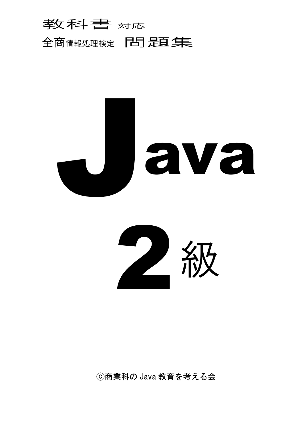





ⓒ商業科の Java 教育を考える会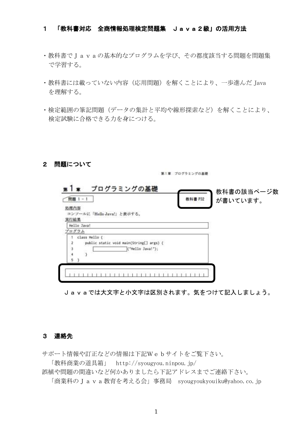### 1 「教科書対応 全商情報処理検定問題集 Java2級」の活用方法

- ・教科書でJavaの基本的なプログラムを学び、その都度該当する問題を問題集 で学習する。
- ・教科書には載っていない内容(応用問題)を解くことにより、一歩進んだ Java を理解する。
- ・検定範囲の筆記問題(データの集計と平均や線形探索など)を解くことにより、 検定試験に合格できる力を身につける。

### 2 問題について

第1章 プログラミングの基礎



Javaでは大文字と小文字は区別されます。気をつけて記入しましょう。

### 3 連絡先

サポート情報や訂正などの情報は下記Webサイトをご覧下さい。

「教科商業の道具箱」 http://syougyou.ninpou.jp/

誤植や問題の間違いなど何かありましたら下記アドレスまでご連絡下さい。

「商業科のJava教育を考える会」事務局 syougyoukyouiku@yahoo.co.jp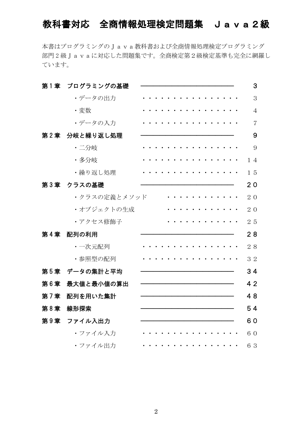# 教科書対応 全商情報処理検定問題集 Java2級

本書はプログラミングのJava教科書および全商情報処理検定プログラミング 部門 2 級Javaに対応した問題集です。全商検定第2級検定基準も完全に網羅し ています。

| 第1章 | プログラミングの基礎   |  |  |  |  |  |  |  |  | 3              |
|-----|--------------|--|--|--|--|--|--|--|--|----------------|
|     | ・データの出力      |  |  |  |  |  |  |  |  | 3              |
|     | ·変数          |  |  |  |  |  |  |  |  | $\overline{4}$ |
|     | ・データの入力      |  |  |  |  |  |  |  |  | 7              |
| 第2章 | 分岐と繰り返し処理    |  |  |  |  |  |  |  |  | 9              |
|     | · 二分岐        |  |  |  |  |  |  |  |  | 9              |
|     | ・多分岐         |  |  |  |  |  |  |  |  | 14             |
|     | ・繰り返し処理      |  |  |  |  |  |  |  |  | 15             |
| 第3章 | クラスの基礎       |  |  |  |  |  |  |  |  | 20             |
|     | ・クラスの定義とメソッド |  |  |  |  |  |  |  |  | 20             |
|     | ・オブジェクトの生成   |  |  |  |  |  |  |  |  | 20             |
|     | ・アクセス修飾子     |  |  |  |  |  |  |  |  | 25             |
| 第4章 | 配列の利用        |  |  |  |  |  |  |  |  | 28             |
|     | · 一次元配列      |  |  |  |  |  |  |  |  | 28             |
|     | ・参照型の配列      |  |  |  |  |  |  |  |  | 32             |
| 第5章 | データの集計と平均    |  |  |  |  |  |  |  |  | 34             |
| 第6章 | 最大値と最小値の算出   |  |  |  |  |  |  |  |  | 42             |
| 第7章 | 配列を用いた集計     |  |  |  |  |  |  |  |  | 48             |
| 第8章 | 線形探索         |  |  |  |  |  |  |  |  | 54             |
| 第9章 | ファイル入出力      |  |  |  |  |  |  |  |  | 60             |
|     | ・ファイル入力      |  |  |  |  |  |  |  |  | 60             |
|     | ・ファイル出力      |  |  |  |  |  |  |  |  | 63             |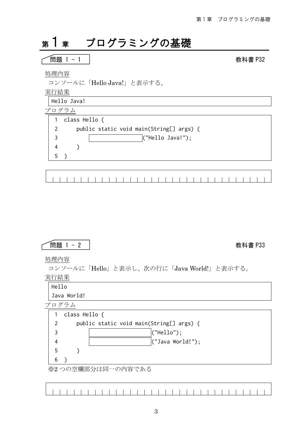# 第1章 プログラミングの基礎

### 問題 1 - 1 教科書 P32

処理内容

コンソールに「Hello Java!」と表示する。

実行結果

Hello Java!

プログラム

|   | class Hello {                            |
|---|------------------------------------------|
|   | public static void main(String[] args) { |
|   | (''Hello Java!');                        |
|   |                                          |
| 5 |                                          |
|   |                                          |
|   |                                          |

### 問題 1 - 2 教科書 P33

処理内容

コンソールに「Hello」と表示し、次の行に「Java World!」と表示する。

実行結果

Hello

Java World!

プログラム

|   | class Hello {      |                                          |  |  |  |  |  |  |  |
|---|--------------------|------------------------------------------|--|--|--|--|--|--|--|
|   |                    | public static void main(String[] args) { |  |  |  |  |  |  |  |
|   |                    | ("Hello");                               |  |  |  |  |  |  |  |
|   |                    | (''Java World!'');                       |  |  |  |  |  |  |  |
| 5 |                    |                                          |  |  |  |  |  |  |  |
| 6 |                    |                                          |  |  |  |  |  |  |  |
|   | ※2 つの空欄部分は同一の内容である |                                          |  |  |  |  |  |  |  |

※2 つの空懶部分は回一の内谷である

 $\sim$  1  $\Box$  $\blacksquare$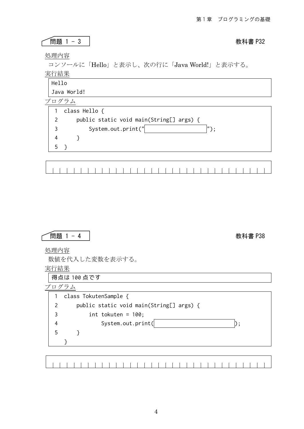### 処理内容 コンソールに「Hello」と表示し、次の行に「Java World!」と表示する。 実行結果 Hello Java World! プログラム 1 class Hello { 2 3 4 5 } public static void main(String[] args) { System.out.print(" "); } 問題 1 - 3 教科書 P32



処理内容

数値を代入した変数を表示する。

実行結果

得点は 100 点です

プログラム

|   | class TokutenSample {                    |  |
|---|------------------------------------------|--|
|   | public static void main(String[] args) { |  |
|   | int tokuten = $100$ ;                    |  |
|   | System.out.print(                        |  |
| 5 |                                          |  |
|   |                                          |  |
|   |                                          |  |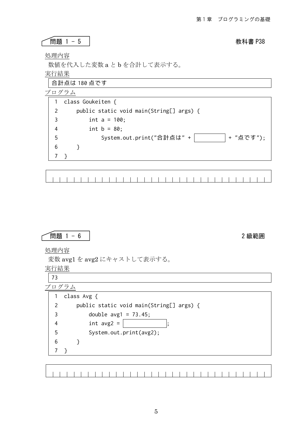### 問題 1 - 5 教科書 P38

処理内容

数値を代入した変数 a と b を合計して表示する。

実行結果

合計点は 180 点です

プログラム

1 class Goukeiten { 2 3 4 5 6 7 } public static void main(String[] args) { int  $a = 100$ ; int  $b = 80$ ; System.out.print("合計点は" + + + "点です"); }

$$
\boxed{\qquad \qquad \text{Rig } 1 - 6}
$$

処理内容

変数 avg1 を avg2 にキャストして表示する。

実行結果

|               | class Avg {                              |
|---------------|------------------------------------------|
| $\mathcal{P}$ | public static void main(String[] args) { |
| 3             | double $avg1 = 73.45$ ;                  |
| 4             | int $avg2 =$                             |
| 5             | System.out.print(avg2);                  |
| 6             |                                          |
|               |                                          |
|               |                                          |

|--|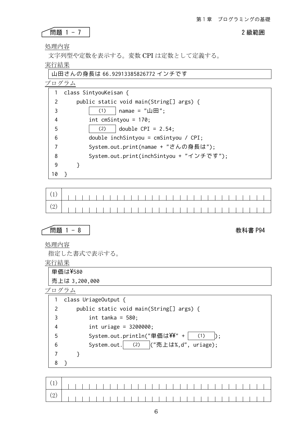問題 1 - 7 2 級範囲

処理内容

文字列型や定数を表示する。変数 CPI は定数として定義する。

実行結果

山田さんの身長は 66.92913385826772 インチです

プログラム

|                | class SintyouKeisan {                                   |  |
|----------------|---------------------------------------------------------|--|
| $\mathcal{P}$  | public static void main(String[] args) {                |  |
| 3              | namae = $" \mathbf{\perp} \mathbf{\boxplus} "$ ;<br>(1) |  |
| $\overline{4}$ | int cmSintyou = $170$ ;                                 |  |
| 5              | double $CPI = 2.54;$<br>(2)                             |  |
| 6              | $double$ inchSintyou = cmSintyou / CPI;                 |  |
| 7              | System.out.print(namae + "さんの身長は");                     |  |
| 8              | System.out.print(inchSintyou + "インチです");                |  |
| 9              |                                                         |  |
| 10             |                                                         |  |

(1) (2)

$$
\fbox{H51 }1-8
$$

### 教科書 P94

処理内容

指定した書式で表示する。

実行結果

| │単価は¥580      |  |  |
|---------------|--|--|
| 売上は 3,200,000 |  |  |

|   | class UriageOutput {                     |
|---|------------------------------------------|
|   | public static void main(String[] args) { |
| 3 | int tanka = $580$ ;                      |
| 4 | int uriage = $3200000$ ;                 |
| 5 | System.out.println("単価は\\'+<br>(1)       |
| 6 | (2) ("売上は%,d", uriage);<br>System.out.   |
|   |                                          |
|   |                                          |

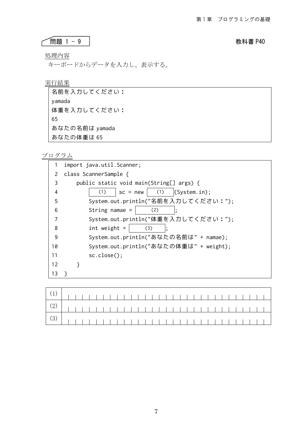### 問題 1 - 9 教科書 P40

処理内容

 $\sqrt{ }$ 

キーボードからデータを入力し、表示する。

実行結果

| あなたの体重は 65     |  |  |
|----------------|--|--|
| あなたの名前は yamada |  |  |
| 65             |  |  |
| 体重を入力してください:   |  |  |
| yamada         |  |  |
| 名前を入力してください:   |  |  |

|    | import java.util.Scanner;                |
|----|------------------------------------------|
| 2  | class ScannerSample {                    |
| 3  | public static void main(String[] args) { |
| 4  | (System.in);<br>$sc = new$<br>(1)<br>(1) |
| 5  | System.out.println("名前を入力してください:");      |
| 6  | String namae $=$<br>(2)                  |
| 7  | System.out.println("体重を入力してください:");      |
| 8  | int weight $=$<br>(3)                    |
| 9  | System.out.println("あなたの名前は" + namae);   |
| 10 | System.out.println("あなたの体重は" + weight);  |
| 11 | sc.close();                              |
| 12 |                                          |
| 13 |                                          |
|    |                                          |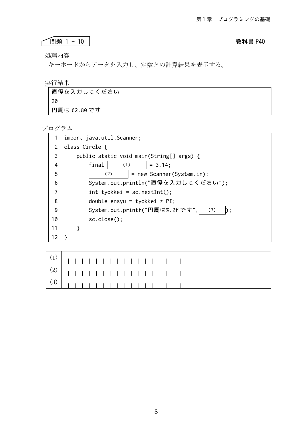### 問題 1 - 10 教科書 P40

処理内容

 $\Gamma$ 

キーボードからデータを入力し、定数との計算結果を表示する。

### 実行結果

| 直径を入力してください  |
|--------------|
| 20           |
| 円周は 62.80 です |

|    | import java.util.Scanner;                |  |
|----|------------------------------------------|--|
| 2  | class Circle {                           |  |
| 3  | public static void main(String[] args) { |  |
| 4  | (1)<br>final<br>$= 3.14$ ;               |  |
| 5  | (2)<br>= new Scanner(System.in);         |  |
| 6  | System.out.println("直径を入力してください");       |  |
|    | $int$ tyokkei = sc.nextInt();            |  |
| 8  | double ensyu = tyokkei $*$ PI;           |  |
| 9  | System.out.printf("円周は%.2f です",<br>(3)   |  |
| 10 | $sc.close()$ :                           |  |
| 11 |                                          |  |
| 12 |                                          |  |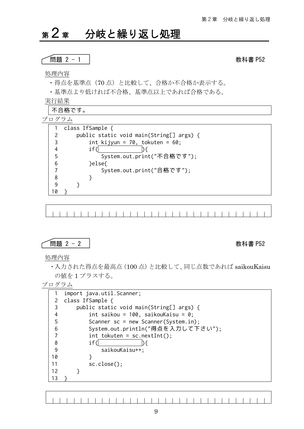# 第2章 分岐と繰り返し処理

### 問題 2 - 1 教科書 P52

### 処理内容

・得点を基準点(70 点)と比較して、合格か不合格か表示する。

実行結果

|               | 不合格です。                                   |
|---------------|------------------------------------------|
| プログラム         |                                          |
|               | class IfSample {                         |
| $\mathcal{P}$ | public static void main(String[] args) { |
| 3             | int kijyun = 70, tokuten = $60$ ;        |
| 4             | if                                       |
| 5             | System.out.print("不合格です");               |
| 6             | }else{                                   |
|               | System.out.print("合格です");                |
| 8             |                                          |
| q             |                                          |
| Q             |                                          |

$$
\fbox{H51 }2-2
$$

### 教科書 P52

処理内容

・入力された得点を最高点(100 点)と比較して、同じ点数であれば saikouKaisu の値を 1 プラスする。

プログラム

|    | import java.util.Scanner;                |
|----|------------------------------------------|
|    | class IfSample {                         |
| 3  | public static void main(String[] args) { |
| 4  | int saikou = 100, saikouKaisu = 0;       |
| 5  | Scanner $sc = new Scanner(System.in);$   |
| 6  | System.out.println("得点を入力して下さい");        |
| 7  | $int$ tokuten = sc.nextInt();            |
| 8  | if(                                      |
| 9  | saikouKaisu++;                           |
| 10 |                                          |
| 11 | $sc.close()$ :                           |
| 12 |                                          |
|    |                                          |

<sup>・</sup>基準点より低ければ不合格、基準点以上であれば合格である。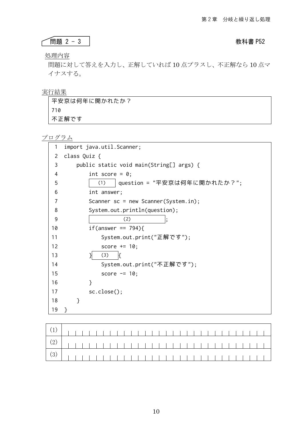### 問題 2 - 3 教科書 P52

処理内容

 $\sqrt{ }$ 

問題に対して答えを入力し、正解していれば 10 点プラスし、不正解なら 10 点マ イナスする。

### 実行結果

| 平安京は何年に開かれたか? |
|---------------|
| 710           |
| 不正解です         |

| 1  | import java.util.Scanner;                |
|----|------------------------------------------|
| 2  | class Quiz {                             |
| 3  | public static void main(String[] args) { |
| 4  | int score = $0$ ;                        |
| 5  | question = "平安京は何年に開かれたか?";<br>(1)       |
| 6  | int answer;                              |
| 7  | Scanner $sc = new Scanner(System.in);$   |
| 8  | System.out.println(question);            |
| 9  | (2)                                      |
| 10 | $if(answer == 794)$                      |
| 11 | System.out.print("正解です");                |
| 12 | score $+= 10;$                           |
| 13 | (3)                                      |
| 14 | System.out.print("不正解です");               |
| 15 | score $= 10$ ;                           |
| 16 | }                                        |
| 17 | sc.close();                              |
| 18 | }                                        |
| 19 | }                                        |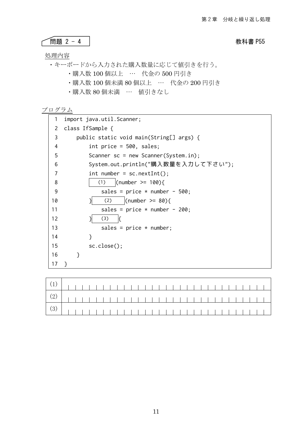## ● **1999年 - 1999年 - 1999年 - 1999年 - 1999年 - 1999年 - 1999年 - 1999年 - 1999年 - 1999年 - 1999年 - 1999年 - 1999年 - 1999年 - 1999年 - 1999年 - 1999年 - 1999年 - 1999年 - 1999年 - 1999年 - 1999年 - 1999年 - 1999年 - 1999年 - 1999年 - 1999年 - 1**

処理内容

- ・キーボードから入力された購入数量に応じて値引きを行う。 ・購入数 100 個以上 … 代金の 500 円引き ・購入数 100 個未満 80 個以上 … 代金の 200 円引き
	- ・購入数 80 個未満 … 値引きなし

| 1              | import java.util.Scanner;                |  |
|----------------|------------------------------------------|--|
| 2              | class IfSample {                         |  |
| 3              | public static void main(String[] args) { |  |
| $\overline{4}$ | int price = $500$ , sales;               |  |
| 5              | Scanner $sc = new Scanner(System.in);$   |  |
| 6              | System.out.println("購入数量を入力して下さい");      |  |
| 7              | $int number = sc.nextInt();$             |  |
| 8              | (number >= $100$ ){<br>(1)               |  |
| 9              | sales = $price * number - 500;$          |  |
| 10             | (number $>= 80$ ){<br>(2)                |  |
| 11             | sales = $price * number - 200;$          |  |
| 12             | (3)                                      |  |
| 13             | sales = $price * number;$                |  |
| 14             | ł                                        |  |
| 15             | sc.close();                              |  |
| 16             | ł                                        |  |
| 17             |                                          |  |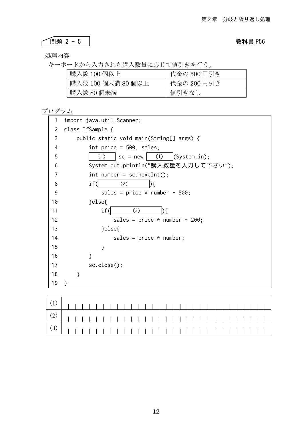問題 2 - 5 教科書 P56

処理内容

キーボードから入力された購入数量に応じて値引きを行う。

| 購入数 100 個以上      | 代金の 500 円引き |
|------------------|-------------|
| 購入数 100個未満 80個以上 | 代金の 200 円引き |
| 購入数 80 個未満       | 値引きなし       |

| 1  | import java.util.Scanner;                |
|----|------------------------------------------|
| 2  | class IfSample {                         |
| 3  | public static void main(String[] args) { |
| 4  | int price = $500$ , sales;               |
| 5  | $sc = new$ (1) (System.in);<br>(1)       |
| 6  | System.out.println("購入数量を入力して下さい");      |
| 7  | $int number = sc.nextInt();$             |
| 8  | if(<br>(2)<br>) {                        |
| 9  | sales = $price * number - 500;$          |
| 10 | }else{                                   |
| 11 | if(<br>(3)<br>$\mathcal{H}$              |
| 12 | sales = price $*$ number - 200;          |
| 13 | }else{                                   |
| 14 | sales = $price * number;$                |
| 15 | }                                        |
| 16 | }                                        |
| 17 | sc.close();                              |
| 18 | }                                        |
| 19 | ł                                        |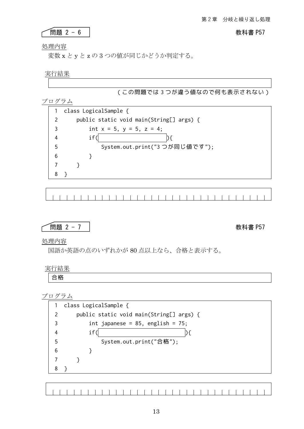### 問題 2 - 6 教科書 P57

処理内容

変数 x と y と z の 3 つの値が同じかどうか判定する。

実行結果

(この問題では 3 つが違う値なので何も表示されない)

プログラム

|   | class LogicalSample {                    |
|---|------------------------------------------|
| 2 | public static void main(String[] args) { |
| 3 | int $x = 5$ , $y = 5$ , $z = 4$ ;        |
|   | if                                       |
| 5 | System.out.print("3つが同じ値です");            |
| 6 |                                          |
|   |                                          |
|   |                                          |

$$
\fbox{BB 2 - 7}
$$

教科書 P57

処理内容

国語か英語の点のいずれかが 80 点以上なら、合格と表示する。

実行結果 合格



1 1 1 1 1 1 1 1 1 1 1 1 1 1 1 1 1  $\blacksquare$  $\blacksquare$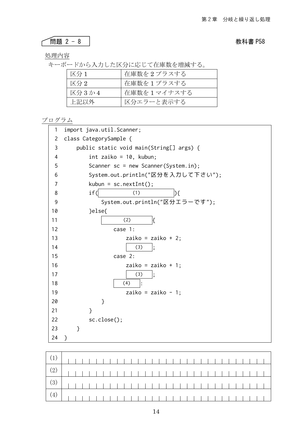# 問題 2 - 8 教科書 P58

処理内容

 $\sqrt{ }$ 

キーボードから入力した区分に応じて在庫数を増減する。

| 区分 1  | 在庫数を2プラスする  |
|-------|-------------|
| 区分 2  | 在庫数を1プラスする  |
| 区分3か4 | 在庫数を1マイナスする |
| 上記以外  | 区分エラーと表示する  |

| 1              | import java.util.Scanner;                |
|----------------|------------------------------------------|
| 2              | class CategorySample {                   |
| 3              | public static void main(String[] args) { |
| 4              | int zaiko = $10$ , kubun;                |
| 5              | Scanner $sc = new Scanner(System.in);$   |
| 6              | System.out.println("区分を入力して下さい");        |
| $\overline{7}$ | $kubun = sc.nextInt();$                  |
| 8              | if(<br>(1)<br>D {                        |
| 9              | System.out.println("区分エラーです");           |
| 10             | }else{                                   |
| 11             | (2)<br>ſ                                 |
| 12             | case $1:$                                |
| 13             | zaiko = zaiko + 2;                       |
| 14             | (3)                                      |
| 15             | case 2:                                  |
| 16             | zaiko = zaiko + 1;                       |
| 17             | (3)                                      |
| 18             | (4)                                      |
| 19             | zaiko = zaiko - 1;                       |
| 20             | }                                        |
| 21             | }                                        |
| 22             | sc.close();                              |
| 23             | }                                        |
| 24             | }                                        |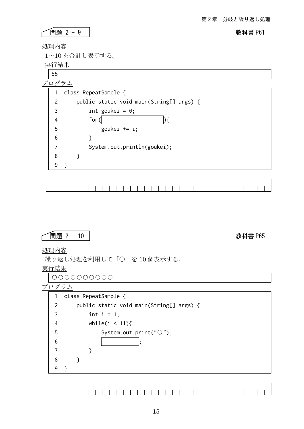### ● ● 19 NH 製 2 - 9 2 NH 製 製 製 製 製 2 - 9 2 NH 製 製 製 製 製 P61

٦

処理内容

1~10 を合計し表示する。

実行結果

55

|                | プログラム                                    |
|----------------|------------------------------------------|
| 1              | class RepeatSample {                     |
| $\overline{2}$ | public static void main(String[] args) { |
| 3              | int goukei = $0$ ;                       |
| 4              | for(                                     |
| 5              | goukei $+=$ i;                           |
| 6              |                                          |
| 7              | System.out.println(goukei);              |
| 8              |                                          |
| 9              |                                          |
|                |                                          |

問題 2 - 10 教科書 P65

処理内容

г

繰り返し処理を利用して「○」を 10 個表示する。

実行結果

○○○○○○○○○○

プログラム

| 1 | class RepeatSample {                     |
|---|------------------------------------------|
| 2 | public static void main(String[] args) { |
| 3 | int $i = 1$ ;                            |
| 4 | while(i $\leq$ 11){                      |
| 5 | System.out.print(" $\circ$ ");           |
| 6 |                                          |
| 7 |                                          |
| 8 |                                          |
|   |                                          |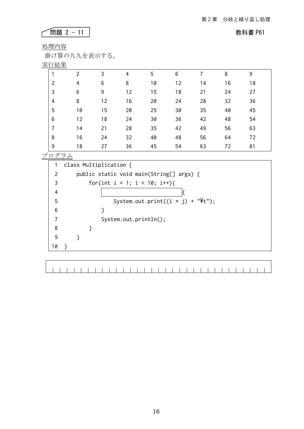### 問題 2 - 11 教科書 P61

٦

処理内容

掛け算の九九を表示する。

# 実行結果

| ヘロルト           |                |    |    |    |    |    |    |    |
|----------------|----------------|----|----|----|----|----|----|----|
|                | $\mathfrak{p}$ | 3  | 4  | 5  | 6  |    | 8  | 9  |
| $\overline{2}$ | $\overline{4}$ | 6  | 8  | 10 | 12 | 14 | 16 | 18 |
| 3              | 6              | 9  | 12 | 15 | 18 | 21 | 24 | 27 |
| 4              | 8              | 12 | 16 | 20 | 24 | 28 | 32 | 36 |
| 5              | 10             | 15 | 20 | 25 | 30 | 35 | 40 | 45 |
| 6              | 12             | 18 | 24 | 30 | 36 | 42 | 48 | 54 |
| 7              | 14             | 21 | 28 | 35 | 42 | 49 | 56 | 63 |
| 8              | 16             | 24 | 32 | 40 | 48 | 56 | 64 | 72 |
| 9              | 18             | 27 | 36 | 45 | 54 | 63 | 72 | 81 |
|                |                |    |    |    |    |    |    |    |

プログラム

class Multiplication { 1 2 public static void main(String[] args) { for(int i = 1; i < 10; i++){ 3 4  $\mathbb{R}$ System.out.print( $(i * j) + "Yt")$ ; 5 6 } 7 System.out.println(); 8 } 9 } 10 }  $\overline{\Gamma}$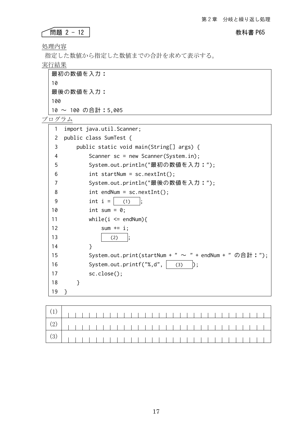## **THE 2 - 12** 2 - 12 2

処理内容

指定した数値から指定した数値までの合計を求めて表示する。

実行結果

| │ 最初の数値を入力:        |
|--------------------|
| 10                 |
| │ 最後の数値を入力:        |
| 100                |
| 10 ~ 100 の合計:5,005 |

| 1  | import java.util.Scanner;                                     |
|----|---------------------------------------------------------------|
| 2  | public class SumTest {                                        |
| 3  | public static void main(String[] args) {                      |
| 4  | Scanner $sc = new Scanner(System.in);$                        |
| 5  | System.out.println("最初の数値を入力:");                              |
| 6  | $int startNum = sc.nextInt();$                                |
| 7  | System.out.println("最後の数値を入力:");                              |
| 8  | $int$ endNum = sc.nextInt();                                  |
| 9  | int $i =$<br>(1)                                              |
| 10 | int sum = $0$ ;                                               |
| 11 | while(i $\le$ endNum){                                        |
| 12 | sum $+= i;$                                                   |
| 13 | (2)<br>;                                                      |
| 14 | }                                                             |
| 15 | System.out.print(startNum + " $\sim$ " + endNum + " の合計 : "); |
| 16 | System.out.printf( $"$ %,d", $ $ (3)                          |
| 17 | sc.close();                                                   |
| 18 | ł                                                             |
| 19 | ł                                                             |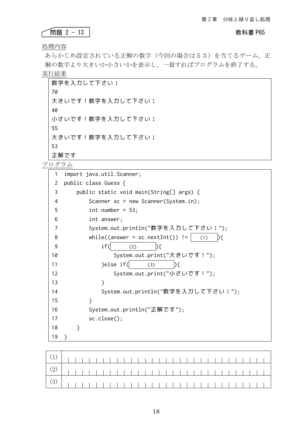### ● <mark>問題 2 − 13</mark> わかり おもの おもの おもの 教科書 P65

処理内容

あらかじめ設定されている正解の数字(今回の場合は53)を当てるゲーム。正 解の数字より大きいか小さいかを表示し、一致すればプログラムを終了する。 実行結果

数字を入力して下さい: 70 大きいです!数字を入力して下さい: 40 小さいです!数字を入力して下さい: 55 大きいです!数字を入力して下さい: 53 正解です

| 1  | import java.util.Scanner;                         |
|----|---------------------------------------------------|
| 2  | public class Guess {                              |
| 3  | public static void main(String[] args) {          |
| 4  | Scanner $sc = new Scanner(System.in);$            |
| 5  | int number = $53$ ;                               |
| 6  | int answer;                                       |
| 7  | System.out.println("数字を入力して下さい:");                |
| 8  | while((answer = $sc.nextInt()$ ) !=<br>(1)<br>D { |
| 9  | if(<br>(2)<br>$\mathcal{H}$                       |
| 10 | System.out.print("大きいです!");                       |
| 11 | }else if(<br>(3)                                  |
| 12 | System.out.print("小さいです!");                       |
| 13 | }                                                 |
| 14 | System.out.println("数字を入力して下さい:");                |
| 15 | }                                                 |
| 16 | System.out.println("正解です");                       |
| 17 | sc.close();                                       |
| 18 | $\mathcal{F}$                                     |
| 19 | ł                                                 |

| $\left( \begin{array}{c c c c c} (1) & & & & & \\ \hline \end{array} \right) \left( \begin{array}{c c c c} (1) & & & & & \\ \hline \end{array} \right) \left( \begin{array}{c c c c} (1) & & & & & \\ \hline \end{array} \right) \left( \begin{array}{c c c c} (1) & & & & & \\ \hline \end{array} \right) \left( \begin{array}{c c c c} (1) & & & & & \\ \hline \end{array} \right) \left( \begin{array}{c c c c} (1) & & & & & \\ \hline \end{array} \right) \left$ |  |  |  |  |  |  |  |  |  |  |  |  |  |  |  |  |
|-----------------------------------------------------------------------------------------------------------------------------------------------------------------------------------------------------------------------------------------------------------------------------------------------------------------------------------------------------------------------------------------------------------------------------------------------------------------------|--|--|--|--|--|--|--|--|--|--|--|--|--|--|--|--|
|                                                                                                                                                                                                                                                                                                                                                                                                                                                                       |  |  |  |  |  |  |  |  |  |  |  |  |  |  |  |  |
|                                                                                                                                                                                                                                                                                                                                                                                                                                                                       |  |  |  |  |  |  |  |  |  |  |  |  |  |  |  |  |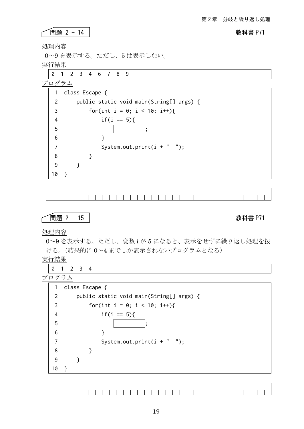### ● <mark>問題 2 - 14</mark> レントン インタン インタン おおき P71

処理内容

0~9 を表示する。ただし、5 は表示しない。

実行結果

0 1 2 3 4 6 7 8 9

プログラム

| 1             | class Escape {                           |
|---------------|------------------------------------------|
| $\mathcal{P}$ | public static void main(String[] args) { |
| 3             | for(int i = 0; i < 10; i++){             |
| 4             | $if(i == 5)$                             |
| 5             |                                          |
| 6             |                                          |
| 7             | System.out.print $(i + " "$              |
| 8             |                                          |
| 9             |                                          |
| 10            |                                          |

**└──問題 2 - 15 │** 教科書 P71

処理内容

0~9 を表示する。ただし、変数 i が 5 になると、表示をせずに繰り返し処理を抜 ける。(結果的に 0~4 までしか表示されないプログラムとなる)

実行結果

0 1 2 3 4

プログラム

| 1  | class Escape {                           |
|----|------------------------------------------|
| 2  | public static void main(String[] args) { |
| 3  | for(int i = 0; i < 10; i++){             |
| 4  | $if(i == 5)$                             |
| 5  |                                          |
| 6  |                                          |
|    | System.out.print $(i + " "$              |
| 8  |                                          |
| 9  |                                          |
| 10 |                                          |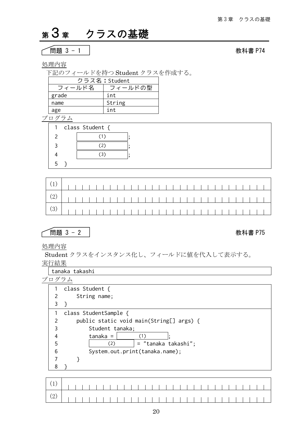# <sup>第</sup>3章 クラスの基礎

$$
\sqrt{}}
$$
問題 3 - 1

教科書 P74

処理内容

下記のフィールドを持つ Student クラスを作成する。

|        | クラス名: Student |
|--------|---------------|
| フィールド名 | フィールドの型       |
| grade  | int           |
| name   | String        |
| age    | int           |

プログラム

| 1. | class Student { |  |  |
|----|-----------------|--|--|
|    |                 |  |  |
|    | ۰,              |  |  |
|    |                 |  |  |
|    |                 |  |  |

## 問題 3 - 2 教科書 P75

### 処理内容

Student クラスをインスタンス化し、フィールドに値を代入して表示する。 実行結果

tanaka takashi

|   | class Student {                          |
|---|------------------------------------------|
|   | String name;                             |
|   |                                          |
|   | class StudentSample {                    |
|   | public static void main(String[] args) { |
| 3 | Student tanaka;                          |
| 4 | $t$ anaka =<br>(1)                       |
| 5 | = "tanaka takashi";<br>(2)               |
| 6 | System.out.print(tanaka.name);           |
|   |                                          |
|   |                                          |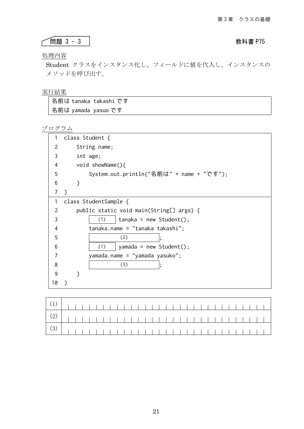### ├──問題 3 - 3 │ おおし おおし おおもち 教科書 P75

### 処理内容

Student クラスをインスタンス化し、フィールドに値を代入し、インスタンスの メソッドを呼び出す。

### 実行結果

| 名前は tanaka takashi です |  |
|-----------------------|--|
| 名前は yamada yasuo です   |  |

| 1  | class Student {                          |
|----|------------------------------------------|
| 2  | String name;                             |
| 3  | int age;                                 |
| 4  | void showName(){                         |
| 5  | System.out.println("名前は" + name + "です"); |
| 6  | ł                                        |
| 7  | ł                                        |
| 1  | class StudentSample {                    |
| 2  | public static void main(String[] args) { |
| 3  | (1)<br>$t$ anaka = new Student();        |
| 4  | tanaka.name = "tanaka takashi";          |
| 5  | (2)                                      |
| 6  | (1)<br>yamada = new Student();           |
|    | yamada.name = "yamada yasuko";           |
| 8  | (3)                                      |
| 9  |                                          |
| 10 | ł                                        |
|    |                                          |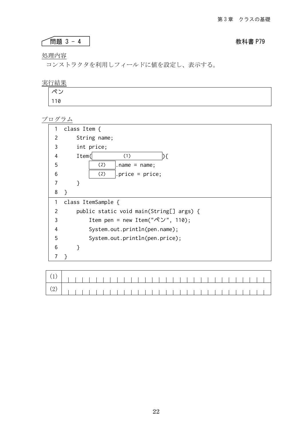## **THE 3 - 4 SET ASSESSED ASSESSED AT A STATE AND A STATE PROPERTY**

### 処理内容

コンストラクタを利用しフィールドに値を設定し、表示する。

### 実行結果

| ーペン           |  |  |  |
|---------------|--|--|--|
| $ 110\rangle$ |  |  |  |

| 1             |                                                          |
|---------------|----------------------------------------------------------|
|               | class Item $\{$                                          |
| $\mathcal{P}$ | String name;                                             |
| 3             | int price;                                               |
| 4             | Item(<br>(1)                                             |
| 5             | (2)<br>$.name = name;$                                   |
| 6             | (2)<br>.price = $price$ ;                                |
| 7             | }                                                        |
| 8             | }                                                        |
| 1             | class ItemSample {                                       |
| 2             | public static void main(String[] args) {                 |
| 3             | Item pen = new Item(" $\mathcal{R} \mathcal{V}$ ", 110); |
| 4             | System.out.println(pen.name);                            |
| 5             | System.out.println(pen.price);                           |
| 6             | }                                                        |
| 7             | ł                                                        |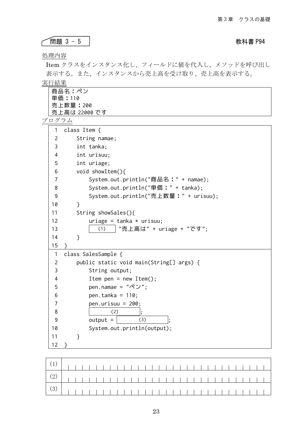問題 3 - 5 教科書 P94

処理内容

Item クラスをインスタンス化し、フィールドに値を代入し、メソッドを呼び出し 表示する。また、インスタンスから売上高を受け取り、売上高を表示する。

実行結果

| 商品名:ペン        |
|---------------|
| 単価:110        |
| 売上数量:200      |
| 売上高は 22000 です |

| 1              | class Item {                              |
|----------------|-------------------------------------------|
| $\overline{c}$ | String namae;                             |
| 3              | int tanka;                                |
| 4              | int urisuu;                               |
| 5              | int uriage;                               |
| 6              | void showItem(){                          |
| 7              | System.out.println("商品名:" + namae);       |
| 8              | System.out.println("単価:" + tanka);        |
| 9              | System.out.println("売上数量:" + urisuu);     |
| 10             | <sup>}</sup>                              |
| 11             | String showSales(){                       |
| 12             |                                           |
|                | uriage = tanka $*$ urisuu;                |
| 13             | "売上高は" + uriage + "です";<br>(1)            |
| 14             | }                                         |
| 15             |                                           |
| $\mathbf{1}$   | class SalesSample {                       |
| $\overline{c}$ | public static void main(String[] args) {  |
| 3              | String output;                            |
| 4              | Item pen = new Item();                    |
| 5              | pen.namae = $"\mathcal{R} \mathcal{Y}$ "; |
| 6              | pen.tanka = $110$ ;                       |
| 7              | pen.urisuu = $200$ ;                      |
| 8              | (2)                                       |
| 9              | $output =$<br>(3)                         |
| 10             | System.out.println(output);               |
| 11             | $\mathcal{E}$                             |
| 12             | ł                                         |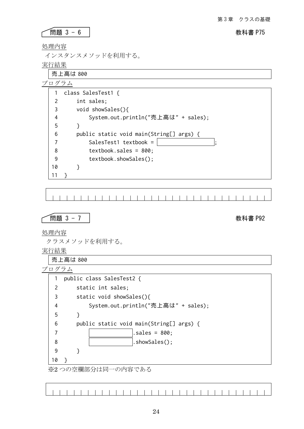### 問題 3 - 6 教科書 P75

処理内容

インスタンスメソッドを利用する。

実行結果

売上高は 800 プログラム 1 class SalesTest1 { 2 int sales; void showSales(){ 3 System.out.println("売上高は" + sales); 4 5 } 6 public static void main(String[] args) { SalesTest1 textbook =  $\vert$ 7 textbook.sales = 800; 8 9 textbook.showSales(); 10 } 11 }  $\blacksquare$  $\blacksquare$  $\blacksquare$ 問題 3 - 7 教科書 P92 処理内容 クラスメソッドを利用する。 実行結果 売上高は 800 プログラム 1 public class SalesTest2 { 2 static int sales; 3 static void showSales(){ System.out.println("売上高は" + sales); 4 5 } 6 public static void main(String[] args) { 7 .sales = 800; 8 .showSales(); 9 } 10 } ※2 つの空欄部分は同一の内容である

11111111111111111111111111111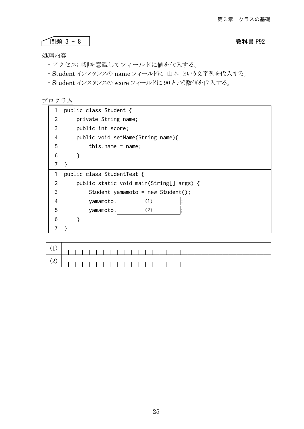$$
\boxed{\mathbb{B} \mathbb{B} \quad 3-8}
$$

教科書 P92

### 処理内容

- ・アクセス制御を意識してフィールドに値を代入する。
- ・Student インスタンスの name フィールドに「山本」という文字列を代入する。
- ・Student インスタンスの score フィールドに 90 という数値を代入する。

|               | public class Student {                   |
|---------------|------------------------------------------|
| $\mathcal{P}$ | private String name;                     |
| 3             | public int score;                        |
| 4             | public void setName(String name){        |
| 5             | this.name = $name$ ;                     |
| 6             |                                          |
| 7             |                                          |
| 1             | public class StudentTest {               |
| 2             | public static void main(String[] args) { |
| 3             | Student yamamoto = new Student();        |
| 4             | yamamoto.<br>(1)                         |
| 5             | (2)<br>yamamoto.                         |
| 6             |                                          |
|               |                                          |
|               |                                          |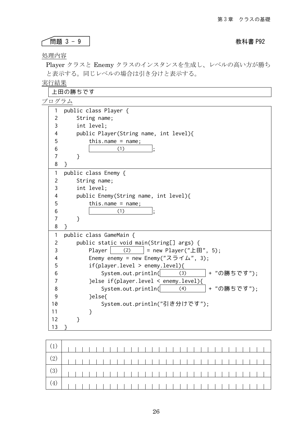### 問題 3 - 9 教科書 P92

処理内容

Ĺ

Player クラスと Enemy クラスのインスタンスを生成し、レベルの高い方が勝ち と表示する。同じレベルの場合は引き分けと表示する。

## 実行結果

|                | 上田の勝ちです                                                 |  |
|----------------|---------------------------------------------------------|--|
| プログラム          |                                                         |  |
| $\mathbf{1}$   | public class Player {                                   |  |
| $\overline{2}$ | String name;                                            |  |
| 3              | int level;                                              |  |
| 4              | public Player(String name, int level){                  |  |
| 5              | this.name = $name;$                                     |  |
| 6              | (1)                                                     |  |
| $\overline{7}$ | $\mathcal{E}$                                           |  |
| 8              | }                                                       |  |
| 1              | public class Enemy {                                    |  |
| 2              | String name;                                            |  |
| 3              | int level;                                              |  |
| 4              | public Enemy(String name, int level){                   |  |
| 5              | this.name = $name;$                                     |  |
| 6              | (1)                                                     |  |
| 7              | }                                                       |  |
| 8              | }                                                       |  |
| 1              | public class GameMain {                                 |  |
| $\overline{c}$ | public static void main(String[] args) {                |  |
| 3              | (2)<br>Player<br>= new Player("上田", 5);                 |  |
| 4              | Enemy enemy = new Enemy(" $\lambda \geq \lambda$ ", 3); |  |
| 5              | if(player. level > enemy. level)                        |  |
| 6              | + "の勝ちです");<br>System.out.println(<br>(3)               |  |
| 7              | }else if(player.level < enemy.level){                   |  |
| 8              | System.out.println(<br>+ "の勝ちです");<br>(4)               |  |
| 9              | }else{                                                  |  |
| 10             | System.out.println("引き分けです");                           |  |
| 11             | }                                                       |  |
| 12             | ł                                                       |  |
| 13             |                                                         |  |

| $\left( \begin{array}{c} (2) \end{array} \right)$ |  |  |  |  |  |  |  |  |  |  |  |  |  |  |  |
|---------------------------------------------------|--|--|--|--|--|--|--|--|--|--|--|--|--|--|--|
|                                                   |  |  |  |  |  |  |  |  |  |  |  |  |  |  |  |
|                                                   |  |  |  |  |  |  |  |  |  |  |  |  |  |  |  |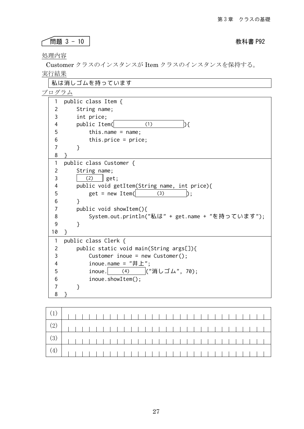# 問題 3 - 10 教科書 P92

処理内容

 $\sqrt{ }$ 

Customer クラスのインスタンスが Item クラスのインスタンスを保持する。 実行結果

|                | 私は消しゴムを持っています                                    |
|----------------|--------------------------------------------------|
| プログラム          |                                                  |
| 1              | public class Item {                              |
| 2              | String name;                                     |
| 3              | int price;                                       |
| 4              | public Item(<br>(1)<br>Dſ.                       |
| 5              | this.name = $name$ ;                             |
| 6              | this.price = $price;$                            |
| $\overline{7}$ | <sup>}</sup>                                     |
| 8              |                                                  |
| 1              | public class Customer {                          |
| $\overline{2}$ | String name;                                     |
| 3              | (2)<br>get;                                      |
| 4              | public void getItem(String name, int price){     |
| 5              | $get = new Item($<br>(3)                         |
| 6              | ł                                                |
| 7              | public void showItem(){                          |
| 8              | System.out.println("私は" + get.name + "を持っています"); |
| 9              | }                                                |
| 10             | }                                                |
| 1              | public class Clerk {                             |
| 2              | public static void main(String args[]){          |
| 3              | Customer inoue = new Customer();                 |
| 4              | inoue.name = $"# \pm"$ ;                         |
| 5              | ("消しゴム", 70);<br>inoue.<br>(4)                   |
| 6              | inoue.showItem();                                |
| 7              | }                                                |
| 8              |                                                  |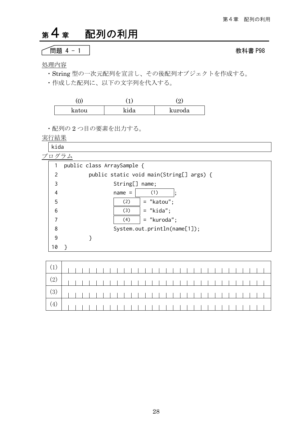# 第4章 配列の利用

$$
\fbox{BB 4 - 1}
$$

処理内容

- ・String 型の一次元配列を宣言し、その後配列オブジェクトを作成する。
- ・作成した配列に、以下の文字列を代入する。

| katou | ehil | kuroda |
|-------|------|--------|

・配列の 2 つ目の要素を出力する。

実行結果

kida

| プログラム          |                                          |
|----------------|------------------------------------------|
|                | public class ArraySample {               |
| $\overline{2}$ | public static void main(String[] args) { |
| 3              | String[] name;                           |
| 4              | (1)<br>$name =$                          |
| 5              | $=$ "katou";<br>(2)                      |
| 6              | $=$ "kida";<br>(3)                       |
| 7              | (4)<br>= "kuroda";                       |
| 8              | System.out.println(name[1]);             |
| 9              |                                          |
| 10             |                                          |
|                |                                          |

教科書 P98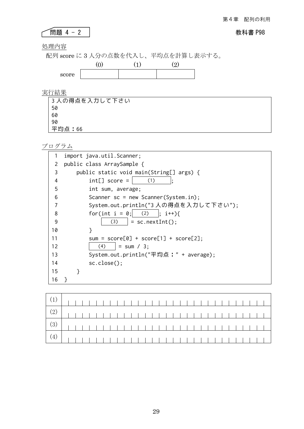## 問題 4 - 2 教科書 P98

処理内容

٢

配列 score に 3 人分の点数を代入し、平均点を計算し表示する。



実行結果

| │3 人の得点を入力して下さい |
|-----------------|
| 50              |
| 60              |
| 90              |
| 平均点:66          |

|    | import java.util.Scanner;                |
|----|------------------------------------------|
| 2  | public class ArraySample {               |
| 3  | public static void main(String[] args) { |
| 4  | $int[] score =$<br>(1)                   |
| 5  | int sum, average;                        |
| 6  | Scanner $sc = new Scanner(System.in);$   |
| 7  | System.out.println("3人の得点を入力して下さい");     |
| 8  | for(int i = 0; (2)  ; i++){              |
| 9  | $(3)$   = sc.nextInt();                  |
| 10 | }                                        |
| 11 | sum = $score[0] + score[1] + score[2];$  |
| 12 | (4)<br>$=$ sum / 3:                      |
| 13 | System.out.println("平均点:" + average);    |
| 14 | sc.close();                              |
| 15 | ł                                        |
| 16 |                                          |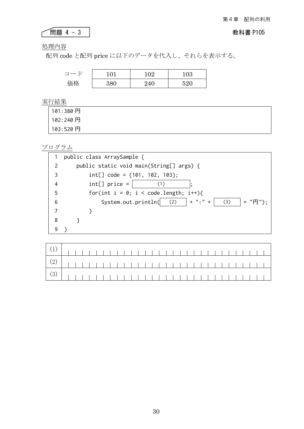## 問題 4 - 3 教科書 P105

処理内容

ſ

配列 code と配列 price に以下のデータを代入し、それらを表示する。

| $\sqsupset$ | $^{\circ}$                        | 02  | 103 |
|-------------|-----------------------------------|-----|-----|
| 価格          | $\cdot$ , Q <sub>(1)</sub><br>--- | '40 | ror |

実行結果

| 101:380円  |  |  |
|-----------|--|--|
| 102:240 円 |  |  |
| 103:520円  |  |  |

|                | public class ArraySample {                            |
|----------------|-------------------------------------------------------|
| $\mathcal{P}$  | public static void main(String[] args) {              |
| 3              | $int[] code = {101, 102, 103};$                       |
| $\overline{4}$ | $int[]$ price =<br>(1)                                |
| 5              | for(int $i = 0$ ; $i <$ code.length; $i^{++}$ ){      |
| 6              | System.out.println( $(2)$   + ":" +<br>(3)<br>+ "円"); |
| 7              |                                                       |
| 8              |                                                       |
| 9              |                                                       |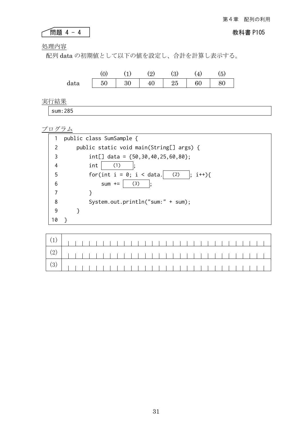# 問題 4 - 4 教科書 P105

処理内容

配列 data の初期値として以下の値を設定し、合計を計算し表示する。



実行結果

sum:285

|               | public class SumSample {                                            |  |
|---------------|---------------------------------------------------------------------|--|
| $\mathcal{P}$ | public static void main(String[] args) {                            |  |
| 3             | int[] data = ${50, 30, 40, 25, 60, 80};$                            |  |
| 4             | (1)<br>int                                                          |  |
| 5             | for(int $i = 0$ ; $i <$ data.<br>(2)<br>$i^{++}$ }{<br>$\mathbf{E}$ |  |
| 6             | (3)<br>$sum + =$                                                    |  |
| 7             |                                                                     |  |
| 8             | System.out.println("sum:" + sum);                                   |  |
| 9             |                                                                     |  |
| 10            |                                                                     |  |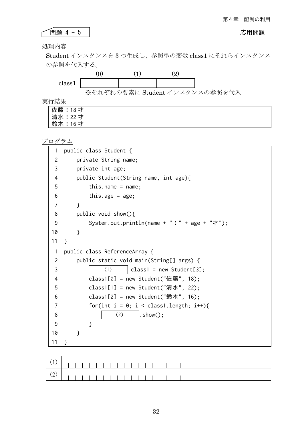# 問題 4 - 5 応用問題

処理内容

Student インスタンスを 3 つ生成し、参照型の変数 class1 にそれらインスタンス の参照を代入する。



実行結果

佐藤:18 才 清水:22 才 鈴木:16 才

| 1          | public class Student {                          |
|------------|-------------------------------------------------|
| 2          | private String name;                            |
| 3          | private int age;                                |
| 4          | public Student(String name, int age){           |
| 5          | this.name = $name;$                             |
| 6          | this.age = $age$ ;                              |
| 7          | $\mathcal{E}$                                   |
| 8          | public void show(){                             |
| 9          | System.out.println(name + " : " + age + "才");   |
| 10         | $\mathcal{F}$                                   |
| 11         | $\mathcal{F}$                                   |
| 1          | public class ReferenceArray {                   |
| 2          | public static void main(String[] args) {        |
| 3          | (1)<br>$class1 = new Student[3];$               |
| 4          | class1[0] = new Student("佐藤", 18);              |
| 5          | class1[1] = new Student("清水", 22);              |
| 6          | class1[2] = new Student("鈴木", 16);              |
| 7          | for(int $i = 0$ ; $i <$ class1.length; $i++)$ { |
| 8          | $:$ show $()$ ;<br>(2)                          |
| 9          | $\mathcal{E}$                                   |
| 10         | }                                               |
| 11         | $\mathcal{F}$                                   |
|            |                                                 |
| $\sqrt{2}$ |                                                 |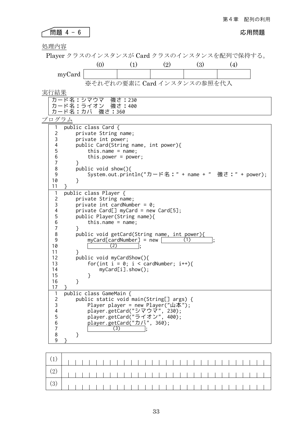### 問題 4 - 6 応用問題

処理内容

Player クラスのインスタンスが Card クラスのインスタンスを配列で保持する。

(0) (1) (2) (3) (4) myCard

※それぞれの要素に Card インスタンスの参照を代入

実行結果

}

public class GameMain {

 $(3)$ ;

}

}

}

| 天11  不       |                                                      |
|--------------|------------------------------------------------------|
|              | カード名:シマウマ 強さ:230                                     |
|              | カード名:ライオン 強さ:400                                     |
|              | カード名:カバ 強さ:360                                       |
| プログラム        |                                                      |
|              | public class Card {                                  |
| 2            | private String name;                                 |
| 3            | private int power;                                   |
| 4            | public Card(String name, int power){                 |
| 5            | this.name = $name;$                                  |
| 6            | this.power = $power$ ;                               |
| 7            | ł                                                    |
| $\,8\,$      | public void show() $\{$                              |
| 9            | System.out.println("カード名:" + name + " 強さ:" + power); |
| 10           | ł                                                    |
| 11           |                                                      |
| $\mathbf{1}$ | public class Player {                                |
| 2            | private String name;                                 |
| 3            | private int cardNumber = $0$ ;                       |
| 4            | $private Card[]$ myCard = new Card[5];               |
| 5            | public Player(String name){                          |
| 6            | this.name = $name$ ;                                 |
| 7            | ł                                                    |
| 8            | public void getCard(String name, int power){         |
| 9            | $myCard[cardNumber] = new$<br>(1)                    |
| 10           | 〔2〕                                                  |
| 11           | ł                                                    |
| 12           | public void myCardShow(){                            |
| 13           | for(int $i = 0$ ; $i <$ cardNumber; $i++)$ {         |

myCard[i].show();

 player.getCard("シマウマ", 230); player.getCard("ライオン", 400); player.getCard("カバ", 360);

 public static void main(String[] args) { Player player = new Player("山本");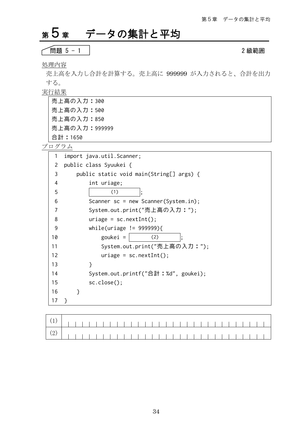# <sup>第</sup>5章 データの集計と平均

$$
\fbox{H5 5 - 1}
$$

問題 5 - 1 2 級範囲

処理内容

売上高を入力し合計を計算する。売上高に 999999 が入力されると、合計を出力 する。

実行結果

| 売上高の入力:300    |  |
|---------------|--|
| 売上高の入力:500    |  |
| 売上高の入力:850    |  |
| 売上高の入力:999999 |  |
| 合計:1650       |  |

| 1  |   | import java.util.Scanner;                |
|----|---|------------------------------------------|
| 2  |   | public class Syuukei {                   |
| 3  |   | public static void main(String[] args) { |
| 4  |   | int uriage;                              |
| 5  |   | (1)                                      |
| 6  |   | Scanner $sc = new Scanner(System.in);$   |
| 7  |   | System.out.print("売上高の入力:");             |
| 8  |   | $urlage = sc.nextInt();$                 |
| 9  |   | while(uriage $!=$ 999999){               |
| 10 |   | goukei $=$<br>(2)                        |
| 11 |   | System.out.print("売上高の入力:");             |
| 12 |   | $urlage = sc.nextInt();$                 |
| 13 |   | ł                                        |
| 14 |   | System.out.printf("合計:%d", goukei);      |
| 15 |   | sc.close();                              |
| 16 | ł |                                          |
| 17 | ł |                                          |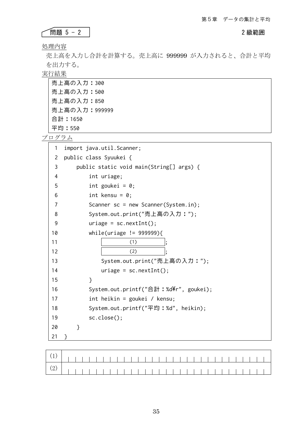### ● 1999年 2012年 12:00 12:00 12:00 12:00 12:00 12:00 12:00 12:00 12:00 12:00 12:00 12:00 12:00 12:00 12:00 12:00 1 ٢

処理内容

売上高を入力し合計を計算する。売上高に 999999 が入力されると、合計と平均 を出力する。

実行結果

| 売上高の入力:300     |  |
|----------------|--|
| 売上高の入力:500     |  |
| 売上高の入力:850     |  |
| 売上高の入力: 999999 |  |
| 合計:1650        |  |
| 平均:550         |  |

| $\mathbf{1}$ | import java.util.Scanner;                |
|--------------|------------------------------------------|
| 2            | public class Syuukei {                   |
| 3            | public static void main(String[] args) { |
| 4            | int uriage;                              |
| 5            | int goukei = $0$ ;                       |
| 6            | int kensu = $0$ ;                        |
| 7            | Scanner $sc = new Scanner(System.in);$   |
| 8            | System.out.print("売上高の入力:");             |
| 9            | $urlage = sc.nextInt();$                 |
| 10           | while(uriage $!=$ 999999){               |
| 11           | (1)                                      |
| 12           | (2)                                      |
| 13           | System.out.print("売上高の入力:");             |
| 14           | $urlage = sc.nextInt()$ ;                |
| 15           | }                                        |
| 16           | System.out.printf("合計:%d\\tml", goukei); |
| 17           | int heikin = goukei / kensu;             |
| 18           | System.out.printf("平均:%d", heikin);      |
| 19           | sc.close();                              |
| 20           | }                                        |
| 21           | }                                        |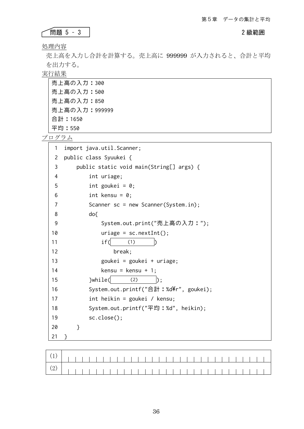### **THE EXECUTE 2 級範囲**

処理内容

売上高を入力し合計を計算する。売上高に 999999 が入力されると、合計と平均 を出力する。

実行結果

| 売上高の入力:300    |  |
|---------------|--|
| 売上高の入力:500    |  |
| 売上高の入力:850    |  |
| 売上高の入力:999999 |  |
| 合計:1650       |  |
| 平均:550        |  |

| 1              | import java.util.Scanner;                |
|----------------|------------------------------------------|
| 2              | public class Syuukei {                   |
| 3              | public static void main(String[] args) { |
| $\overline{4}$ | int uriage;                              |
| 5              | int goukei = $0$ ;                       |
| 6              | int kensu = $0$ ;                        |
| 7              | Scanner $sc = new Scanner(System.in);$   |
| 8              | do                                       |
| 9              | System.out.print("売上高の入力:");             |
| 10             | $urlage = sc.nextInt();$                 |
| 11             | if(<br>(1)                               |
| 12             | break;                                   |
| 13             | goukei = goukei + uriage;                |
| 14             | kensu = kensu + 1;                       |
| 15             | }while(<br>(2)<br>I) :                   |
| 16             | System.out.printf("合計:%d\\r", goukei);   |
| 17             | int heikin = goukei / kensu;             |
| 18             | System.out.printf("平均:%d", heikin);      |
| 19             | sc.close();                              |
| 20             | }                                        |
| 21             | ł                                        |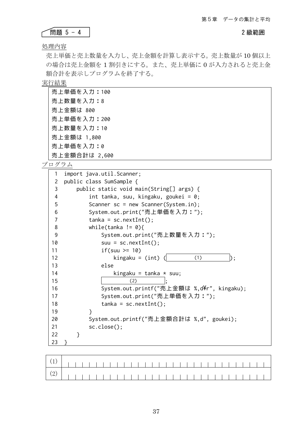### ● 日の 10 2 級範囲 おおとこ おおとこ おおとこ おおおし 2 級範囲 おおとこ おおおおし 2 級範囲

処理内容

٢

売上単価と売上数量を入力し、売上金額を計算し表示する。売上数量が 10 個以上 の場合は売上金額を 1 割引きにする。また、売上単価に 0 が入力されると売上金 額合計を表示しプログラムを終了する。

実行結果

| 売上単価を入力:100   |
|---------------|
| 売上数量を入力:8     |
| 売上金額は 800     |
| 売上単価を入力:200   |
| 売 上数量を入力:10   |
| 売上金額は 1,800   |
| 売上単価を入力:0     |
| 売上金額合計は 2,600 |

| 1              | import java.util.Scanner;                  |  |
|----------------|--------------------------------------------|--|
| $\overline{c}$ | public class SumSample {                   |  |
| 3              | public static void main(String[] args) {   |  |
| 4              | int tanka, suu, kingaku, goukei = 0;       |  |
| 5              | Scanner $sc = new Scanner(System.in);$     |  |
| 6              | System.out.print("売上単価を入力:");              |  |
| 7              | $tanka = sc.nextInt()$ ;                   |  |
| 8              | while(tanka != $\emptyset$ ){              |  |
| 9              | System.out.print("売上数量を入力:");              |  |
| 10             | $suu = sc.nextInt()$ ;                     |  |
| 11             | if(suu $\ge$ 10)                           |  |
| 12             | kingaku = $(int)$ $($<br>(1)               |  |
| 13             | else                                       |  |
| 14             | kingaku = tanka $*$ suu;                   |  |
| 15             | (2)                                        |  |
| 16             | System.out.printf("売上金額は %,d\r", kingaku); |  |
| 17             | System.out.print("売上単価を入力:");              |  |
| 18             | $tanka = sc.nextInt();$                    |  |
| 19             | ł                                          |  |
| 20             | System.out.printf("売上金額合計は %,d", goukei);  |  |
| 21             | $sc.close()$ ;                             |  |
| 22             | ł                                          |  |
| 23             |                                            |  |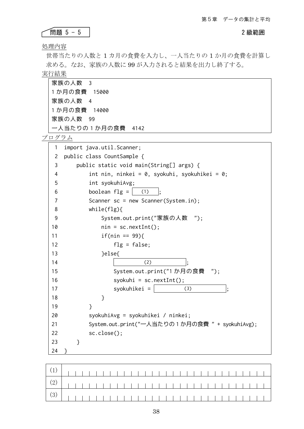### ● ● 同題 5 - 5 2 級範囲

処理内容

世帯当たりの人数と 1 カ月の食費を入力し、一人当たりの 1 か月の食費を計算し 求める。なお、家族の人数に 99 が入力されると結果を出力し終了する。

実行結果

| 家族の人数 3           |  |
|-------------------|--|
| 1か月の食費 15000      |  |
| 家族の人数 4           |  |
| 1か月の食費 14000      |  |
| 家族の人数 99          |  |
| 一人当たりの1か月の食費 4142 |  |
| プログラム             |  |

| 1  | import java.util.Scanner;                       |
|----|-------------------------------------------------|
| 2  | public class CountSample {                      |
| 3  | public static void main(String[] args) {        |
| 4  | int nin, ninkei = 0, syokuhi, syokuhikei = 0;   |
| 5  | int syokuhiAvg;                                 |
| 6  | boolean $flg =  $ (1)                           |
| 7  | Scanner sc = new Scanner(System.in);            |
| 8  | while $(flg)$                                   |
| 9  | System.out.print("家族の人数 ");                     |
| 10 | $nin = sc.nextInt();$                           |
| 11 | $if(nin == 99)$                                 |
| 12 | $fly = false;$                                  |
| 13 | }else{                                          |
| 14 | (2)                                             |
| 15 | System.out.print("1 か月の食費 ");                   |
| 16 | $syokuhi = sc.nextInt();$                       |
| 17 | $syokuhikei =$<br>(3)                           |
| 18 | }                                               |
| 19 | $\mathcal{F}$                                   |
| 20 | syokuhiAvg = syokuhikei / ninkei;               |
| 21 | System.out.print("一人当たりの1か月の食費 " + syokuhiAvg); |
| 22 | sc.close();                                     |
| 23 | }                                               |
| 24 | ን                                               |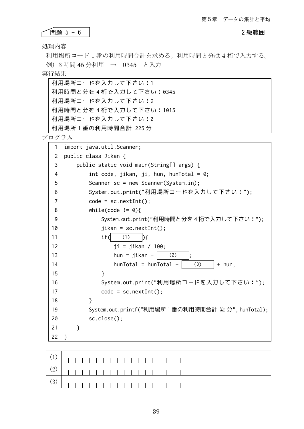● 日題 5-6 2 級範囲 おんじょう おんじん おんじん おんじゅつ おんじゅつ おんじゅつ おんじゅつ おんじゅつ おんじゅつ おんじゅつ おんじょう こうしゃ こうしゅう こうしゅう こうしゃ こうしゅう こうしゃ ٢

処理内容

利用場所コード 1 番の利用時間合計を求める。利用時間と分は 4 桁で入力する。 例)3 時間 45 分利用 → 0345 と入力

実行結果

| 利用場所コードを入力して下さい:1      |
|------------------------|
| 利用時間と分を4桁で入力して下さい:0345 |
| 利用場所コードを入力して下さい:2      |
| 利用時間と分を4桁で入力して下さい:1015 |
| 利用場所コードを入力して下さい:0      |
| 利用場所1番の利用時間合計 225分     |

| 1  | import java.util.Scanner;                            |
|----|------------------------------------------------------|
| 2  | public class Jikan {                                 |
| 3  | public static void main(String[] args) {             |
| 4  | int code, jikan, ji, hun, hunTotal = $0$ ;           |
| 5  | Scanner $sc = new Scanner(System.in);$               |
| 6  | System.out.print("利用場所コードを入力して下さい:");                |
| 7  | $code = sc.nextInt()$ ;                              |
| 8  | while(code != $\emptyset$ ){                         |
| 9  | System.out.print("利用時間と分を 4 桁で入力して下さい:");            |
| 10 | $jikan = sc.nextInt();$                              |
| 11 | if(<br>(1)<br>$\mathcal{A}$                          |
| 12 | $ji = jikan / 100;$                                  |
| 13 | hun = $jikan -$<br>(2)<br>$\vdots$                   |
| 14 | $h$ un $Total = h$ un $Total +$<br>(3)<br>+ hun;     |
| 15 | ł                                                    |
| 16 | System.out.print("利用場所コードを入力して下さい:");                |
| 17 | $code = sc.nextInt()$ ;                              |
| 18 | }                                                    |
| 19 | System.out.printf("利用場所 1 番の利用時間合計 %d 分", hunTotal); |
| 20 | sc.close();                                          |
| 21 | }                                                    |
| 22 | ł                                                    |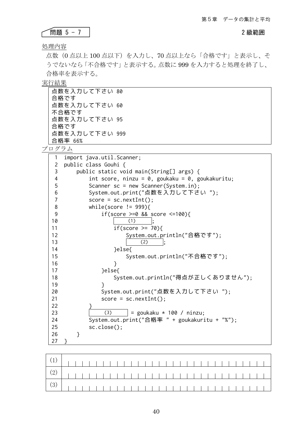### ● ● 同題 5 - 7 2 級範囲

処理内容

点数(0 点以上 100 点以下)を入力し、70 点以上なら「合格です」と表示し、そ うでないなら「不合格です」と表示する。点数に 999 を入力すると処理を終了し、 合格率を表示する。

実行結果

| 点数を入力して下さい 80  |  |
|----------------|--|
| 合格です           |  |
| 点数を入力して下さい 60  |  |
| 不合格です          |  |
| 点数を入力して下さい 95  |  |
| 合格です           |  |
| 点数を入力して下さい 999 |  |
| 合格率 66%        |  |

| 1                       | import java.util.Scanner;                       |
|-------------------------|-------------------------------------------------|
| 2                       | public class Gouhi {                            |
| 3                       | public static void main(String[] args) {        |
| $\overline{\mathbf{4}}$ | int score, ninzu = 0, goukaku = 0, goukakuritu; |
| 5                       | Scanner $sc = new Scanner(System.in);$          |
| 6                       | System.out.print("点数を入力して下さい ");                |
| 7                       | $score = sc.nextInt();$                         |
| 8                       | while(score $!=$ 999){                          |
| 9                       | if(score $>=0$ && score $<=100$ ){              |
| 10                      | (1)                                             |
| 11                      | if(score $\ge$ 70){                             |
| 12                      | System.out.println("合格です");                     |
| 13                      | (2)                                             |
| 14                      | }else{                                          |
| 15                      | System.out.println("不合格です");                    |
| 16                      | }                                               |
| 17                      | }else{                                          |
| 18                      | System.out.println("得点が正しくありません");              |
| 19                      | ł                                               |
| 20                      | System.out.print("点数を入力して下さい ");                |
| 21                      | $score = sc.nextInt();$                         |
| 22                      |                                                 |
| 23                      | (3)<br>= goukaku $*$ 100 / ninzu;               |
| 24                      | System.out.print("合格率 " + goukakuritu + "%");   |
| 25                      | sc.close();                                     |
| 26                      | }                                               |
| 27                      | }                                               |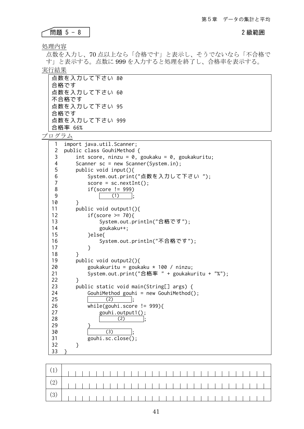### 問題 5 - 8 2 級範囲

処理内容

点数を入力し、70 点以上なら「合格です」と表示し、そうでないなら「不合格で す」と表示する。点数に 999 を入力すると処理を終了し、合格率を表示する。 実行結果

| 点数を入力して下さい 80  |  |
|----------------|--|
| 合格です           |  |
| 点数を入力して下さい 60  |  |
| 不合格です          |  |
| 点数を入力して下さい 95  |  |
| 合格です           |  |
| 点数を入力して下さい 999 |  |
| 合格率 66%        |  |

```
1
 2
 3
 4
 5
 6
 7
 8
 9
10
11
12
13
14
15
16
17
18
19
20
21
22
23
24
25
26
27
28
29
30
31
32
33
    import java.util.Scanner;
    public class GouhiMethod {
       int score, ninzu = 0, goukaku = 0, goukakuritu;
       Scanner sc = new Scanner(System.in);
        public void input(){
            System.out.print("点数を入力して下さい ");
           score = sc.nextInt();
            if(score != 999)
    (1) ;
         }
        public void output1(){
           if(score \ge 70){
                System.out.println("合格です");
                goukaku++;
            }else{
                System.out.println("不合格です");
            }
         }
        public void output2(){
            goukakuritu = goukaku * 100 / ninzu;
            System.out.print("合格率 " + goukakuritu + "%");
        }
        public static void main(String[] args) {
           GouhiMethod gouhi = new GouhiMethod();
                 (2) while(gouhi.score != 999){
                gouhi.output1();
    (2);
     }
    (3);
            gouhi.sc.close();
        }
    }
```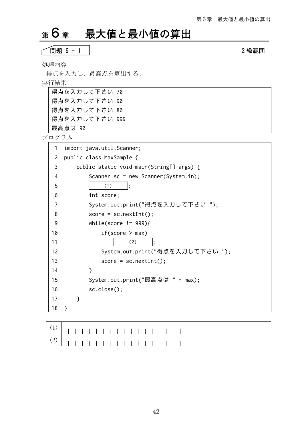# <sup>第</sup>6章 最大値と最小値の算出

問題 6 - 1 2 級範囲

処理内容

得点を入力し、最高点を算出する。

実行結果

| 得点を入力して下さい 70  |  |
|----------------|--|
| 得点を入力して下さい 90  |  |
| 得点を入力して下さい 80  |  |
| 得点を入力して下さい 999 |  |
| 最高点は 90        |  |

| 1  |   | import java.util.Scanner;                |
|----|---|------------------------------------------|
| 2  |   | public class MaxSample {                 |
| 3  |   | public static void main(String[] args) { |
| 4  |   | Scanner $sc = new Scanner(System.in);$   |
| 5  |   | (1)                                      |
| 6  |   | int score;                               |
| 7  |   | System.out.print("得点を入力して下さい ");         |
| 8  |   | $score = sc.nextInt();$                  |
| 9  |   | while(score != $999$ ){                  |
| 10 |   | if(score > max)                          |
| 11 |   | (2)                                      |
| 12 |   | System.out.print("得点を入力して下さい ");         |
| 13 |   | $score = sc.nextInt();$                  |
| 14 |   | }                                        |
| 15 |   | System.out.print("最高点は " + max);         |
| 16 |   | sc.close();                              |
| 17 | } |                                          |
| 18 | } |                                          |
|    |   |                                          |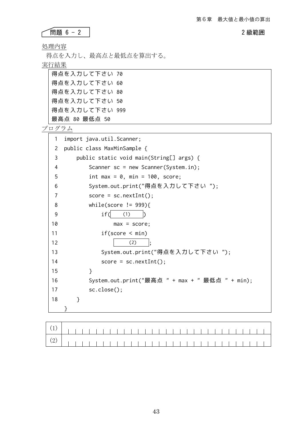問題 6 - 2 2 級範囲 ٢

処理内容

得点を入力し、最高点と最低点を算出する。

実行結果

| 得点を入力して下さい 70  |  |
|----------------|--|
| 得点を入力して下さい 60  |  |
| 得点を入力して下さい 80  |  |
| 得点を入力して下さい 50  |  |
| 得点を入力して下さい 999 |  |
| 最高点 80 最低点 50  |  |

| 1              | import java.util.Scanner;                       |
|----------------|-------------------------------------------------|
| $\overline{2}$ | public class MaxMinSample {                     |
| 3              | public static void main(String[] args) {        |
| 4              | Scanner $sc = new Scanner(System.in);$          |
| 5              | int max = $0$ , min = 100, score;               |
| 6              | System.out.print("得点を入力して下さい ");                |
| 7              | $score = sc.nextInt()$ ;                        |
| 8              | while(score != $999$ ){                         |
| 9              | if(<br>(1)                                      |
| 10             | $max = score;$                                  |
| 11             | if(score < min)                                 |
| 12             | (2)                                             |
| 13             | System.out.print("得点を入力して下さい ");                |
| 14             | $score = sc.nextInt();$                         |
| 15             | }                                               |
| 16             | System.out.print("最高点 " + max + " 最低点 " + min); |
| 17             | sc.close();                                     |
| 18             | ł                                               |
|                |                                                 |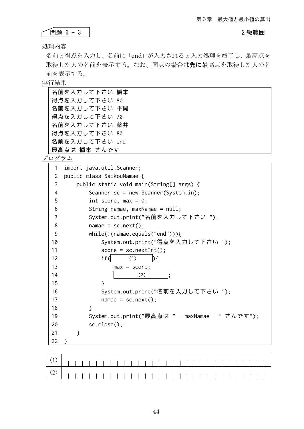### ● 問題 6 - 3 2 級範囲 2 級範囲 ٢

処理内容

名前と得点を入力し、名前に「end」が入力されると入力処理を終了し、最高点を 取得した人の名前を表示する。なお、同点の場合は先に最高点を取得した人の名 前を表示する。

実行結果

| 名前を入力して下さい 橋本  |
|----------------|
| 得点を入力して下さい 80  |
| 名前を入力して下さい 平岡  |
| 得点を入力して下さい 70  |
| 名前を入力して下さい 藤井  |
| 得点を入力して下さい 80  |
| 名前を入力して下さい end |
| 最高点は 橋本 さんです   |

| 1              | import java.util.Scanner;                       |
|----------------|-------------------------------------------------|
| 2              | public class SaikouNamae {                      |
| 3              | public static void main(String[] args) {        |
| 4              | Scanner $sc = new Scanner(System.in);$          |
| 5              | int score, max = $0$ ;                          |
| 6              | String namae, maxNamae = null;                  |
| $\overline{7}$ | System.out.print("名前を入力して下さい ");                |
| 8              | $name = sc.next();$                             |
| 9              | $while(!(\text{name.equals("end"))))$           |
| 10             | System.out.print("得点を入力して下さい ");                |
| 11             | $score = sc.nextInt();$                         |
| 12             | if(<br>(1)<br>$\mathcal{H}$                     |
| 13             | $max = score;$                                  |
| 14             | (2)                                             |
| 15             | }                                               |
| 16             | System.out.print("名前を入力して下さい ");                |
| 17             | $name = sc.next();$                             |
| 18             | }                                               |
| 19             | System.out.print("最高点は " + maxNamae + " さんです"); |
| 20             | $sc.close()$ ;                                  |
| 21             | }                                               |
| 22             |                                                 |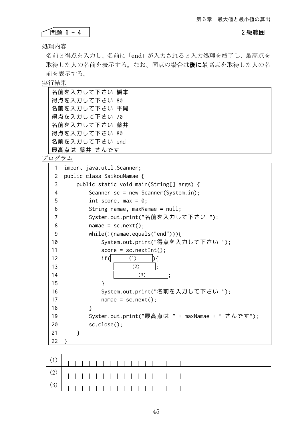### ● 日題 6 - 4 2 級範囲 2 級範囲 Ĺ

処理内容

名前と得点を入力し、名前に「end」が入力されると入力処理を終了し、最高点を 取得した人の名前を表示する。なお、同点の場合は後に最高点を取得した人の名 前を表示する。

実行結果

| 名前を入力して下さい 橋本  |  |
|----------------|--|
| 得点を入力して下さい 80  |  |
| 名前を入力して下さい 平岡  |  |
| 得点を入力して下さい 70  |  |
| 名前を入力して下さい 藤井  |  |
| 得点を入力して下さい 80  |  |
| 名前を入力して下さい end |  |
| 最高点は 藤井 さんです   |  |

| 1              | import java.util.Scanner;                       |
|----------------|-------------------------------------------------|
| 2              | public class SaikouNamae {                      |
| 3              | public static void main(String[] args) {        |
| 4              | Scanner $sc = new Scanner(System.in);$          |
| 5              | int score, max = $0$ ;                          |
| 6              | String namae, maxNamae = $null;$                |
| $\overline{7}$ | System.out.print("名前を入力して下さい ");                |
| 8              | $name = sc.next();$                             |
| 9              | $while(!(\text{name.equals("end"))))$           |
| 10             | System.out.print("得点を入力して下さい ");                |
| 11             | $score = sc.nextInt();$                         |
| 12             | if(<br>(1)                                      |
| 13             | (2)                                             |
| 14             | (3)                                             |
| 15             | }                                               |
| 16             | System.out.print("名前を入力して下さい ");                |
| 17             | $name = sc.next();$                             |
| 18             | }                                               |
| 19             | System.out.print("最高点は " + maxNamae + " さんです"); |
| 20             | sc.close();                                     |
| 21             | }                                               |
| 22             |                                                 |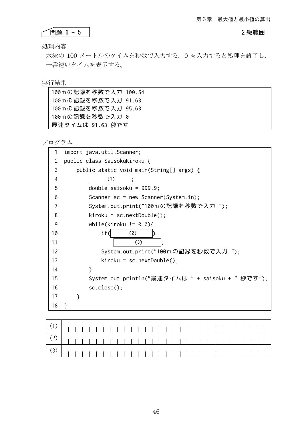### ● 日題 6-5 2 級範囲 おんじょう おんじん おんじん おんじゅつ おんじゅつ おんじゅつ おんじゅつ おんじゅつ おんじゅつ おんじゅつ おんじゅつ おんじょう ٢

処理内容

水泳の 100 メートルのタイムを秒数で入力する。0 を入力すると処理を終了し、 一番速いタイムを表示する。

### 実行結果

| 100mの記録を秒数で入力 100.54 |  |
|----------------------|--|
| 100mの記録を秒数で入力 91.63  |  |
| 100mの記録を秒数で入力 95.63  |  |
| 100mの記録を秒数で入力 0      |  |
| 最速タイムは 91.63 秒です     |  |

| 1  | import java.util.Scanner;                         |
|----|---------------------------------------------------|
| 2  | public class SaisokuKiroku {                      |
| 3  | public static void main(String[] args) {          |
| 4  | (1)                                               |
| 5  | double saisoku = $999.9$ ;                        |
| 6  | Scanner $sc = new Scanner(System.in);$            |
| 7  | System.out.print("100mの記録を秒数で入力 ");               |
| 8  | $\text{kiroku} = \text{sc.nextDouble}()$ ;        |
| 9  | while(kiroku != $0.0$ ){                          |
| 10 | if(<br>(2)                                        |
| 11 | (3)                                               |
| 12 | System.out.print("100mの記録を秒数で入力 ");               |
| 13 | $\text{kiroku} = \text{sc.nextDouble}()$ ;        |
| 14 | ł                                                 |
| 15 | System.out.println("最速タイムは " + saisoku + " 秒です"); |
| 16 | sc.close();                                       |
| 17 | }                                                 |
| 18 |                                                   |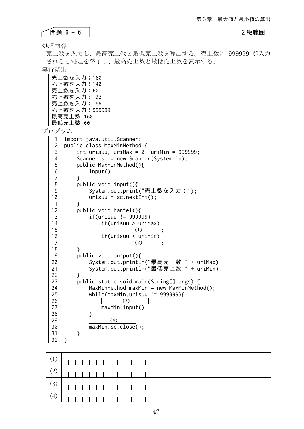問題 6 - 6 2 級範囲

処理内容

ſ

売上数を入力し、最高売上数と最低売上数を算出する。売上数に 999999 が入力 されると処理を終了し、最高売上数と最低売上数を表示する。

実行結果

| 売 上数を入力:160   |
|---------------|
| 売上数を入力:140    |
| 売上数を入力:60     |
| 売 上数を入力:100   |
| 売上数を入力:155    |
| 売上数を入力:999999 |
| 最高売上数 160     |
| 最低売上数 60      |

| 1              | import java.util.Scanner;                   |
|----------------|---------------------------------------------|
| 2              | public class MaxMinMethod {                 |
| $\frac{3}{4}$  | int urisuu, uriMax = 0, uriMin = 999999;    |
|                | Scanner sc = new Scanner(System.in);        |
|                | public MaxMinMethod(){                      |
| $\frac{5}{6}$  | $input()$ ;                                 |
| $\overline{7}$ | ł                                           |
| 8              | public void input(){                        |
| 9              | System.out.print("売上数を入力:");                |
| 10             | $urisuu = sc.nextInt();$                    |
| 11             | <sup>}</sup>                                |
| 12             | public void hantei(){                       |
| 13             | $if(urisuu != 999999)$                      |
| 14             | if(urisuu > uriMax)                         |
| 15             | (1)                                         |
| 16             | if(urisuu < uriMin)                         |
| 17             | (2)                                         |
| 18             | ł                                           |
| 19             | public void output(){                       |
| 20             | System.out.println("最高売上数 " + uriMax);      |
| 21             | System.out.println("最低売上数 " + uriMin);      |
| 22             | ł                                           |
| 23             | public static void main(String[] args) {    |
| 24             | $MaxMinMethod$ maxMin = new MaxMinMethod(); |
| 25             | while(maxMin.urisuu != $999999$ ){          |
| 26             | (3)                                         |
| 27             | maxMin.input();                             |
| 28             |                                             |
| 29             | (4)                                         |
| 30             | maxMin.sc.close();                          |
| 31             | }                                           |
| 32             |                                             |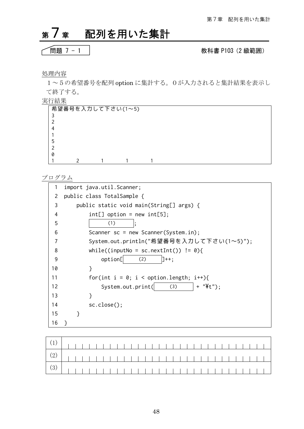# <sup>第</sup>7章 配列を用いた集計

$$
\fbox{H5,1--1}
$$

### 問題 7 - 1 教科書 P103(2 級範囲)

### 処理内容

1~5の希望番号を配列 option に集計する。0が入力されると集計結果を表示し て終了する。

実行結果

| 希望番号を入力して下さい(1~5) |  |  |  |  |  |
|-------------------|--|--|--|--|--|
|                   |  |  |  |  |  |
|                   |  |  |  |  |  |
|                   |  |  |  |  |  |
|                   |  |  |  |  |  |
|                   |  |  |  |  |  |
|                   |  |  |  |  |  |
| 0                 |  |  |  |  |  |
|                   |  |  |  |  |  |

| 1  | import java.util.Scanner;                        |  |
|----|--------------------------------------------------|--|
| 2  | public class TotalSample {                       |  |
| 3  | public static void main(String[] args) {         |  |
| 4  | $int[]$ option = new int[5];                     |  |
| 5  | (1)                                              |  |
| 6  | Scanner $sc = new Scanner(System.in);$           |  |
|    | System.out.println("希望番号を入力して下さい(1~5)");         |  |
| 8  | while((inputNo = sc.nextInt()) != $\emptyset$ ){ |  |
| 9  | option[<br>(2)<br>$1++:$                         |  |
| 10 | ł                                                |  |
| 11 | for(int $i = 0$ ; $i <$ option.length; $i++)$ {  |  |
| 12 | $  + "4t"$ ;<br>System.out.print(<br>(3)         |  |
| 13 | ł                                                |  |
| 14 | sc.close();                                      |  |
| 15 | ł                                                |  |
| 16 |                                                  |  |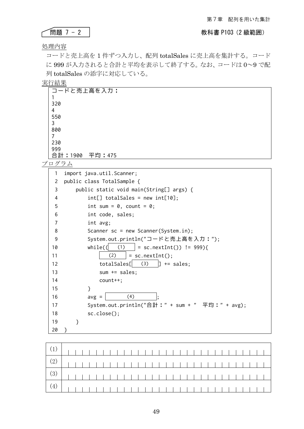### 問題 7 - 2 教科書 P103(2 級範囲)

### 処理内容

٢

コードと売上高を 1 件ずつ入力し、配列 totalSales に売上高を集計する。コード に 999 が入力されると合計と平均を表示して終了する。なお、コードは 0~9 で配 列 totalSales の添字に対応している。

### 実行結果

| コードと売上高を入力:       |  |
|-------------------|--|
|                   |  |
| 320               |  |
| 4                 |  |
| 550               |  |
| 3                 |  |
| 800               |  |
|                   |  |
| 230               |  |
| 999               |  |
| 合計: 1900 平均: 475  |  |
| $\wedge$ $\cdots$ |  |

| 1              | import java.util.Scanner;                             |
|----------------|-------------------------------------------------------|
| 2              | public class TotalSample {                            |
| 3              | public static void main(String[] args) {              |
| 4              | $int[]$ totalSales = new $int[10];$                   |
| 5              | int sum = $0$ , count = $0$ ;                         |
| 6              | int code, sales;                                      |
| $\overline{7}$ | int avg;                                              |
| 8              | Scanner $sc = new Scanner(System.in);$                |
| 9              | System.out.println("コードと売上高を入力:");                    |
| 10             | $while$ ( $\Box$<br>(1)<br>= sc.nextInt()) $!=$ 999){ |
| 11             | (2)<br>$=$ sc.nextInt();                              |
| 12             | (3)<br>totalSales[<br>IT.<br>$+=$ sales;              |
| 13             | sum $+=$ sales;                                       |
| 14             | $count++;$                                            |
| 15             | }                                                     |
| 16             | (4)<br>$avg =$                                        |
| 17             | System.out.println("合計:" + sum + " 平均:" + avg);       |
| 18             | $sc.close()$ ;                                        |
| 19             | ł                                                     |
| 20             |                                                       |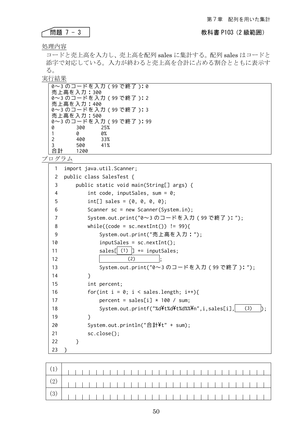### ● **問題 7 - 3 No. 2 級範囲** 2 本科書 P103 (2 級範囲)

### 処理内容

٢

コードと売上高を入力し、売上高を配列 sales に集計する。配列 sales はコードと 添字で対応している。入力が終わると売上高を合計に占める割合とともに表示す る。

実行結果

|    |            | 0~3 のコードを入力(99 で終了):0  |
|----|------------|------------------------|
|    | 売上高を入力:300 |                        |
|    |            | 0~3のコードを入力 (99 で終了):2  |
|    | 売上高を入力:400 |                        |
|    |            | 0~3のコードを入力 (99 で終了):3  |
|    | 売上高を入力:500 |                        |
|    |            | 0~3 のコードを入力(99 で終了):99 |
| 0  | 300        | 25%                    |
| 1  | 0          | 0%                     |
| 2  | 400        | 33%                    |
| 3  | 500        | 41%                    |
| 合計 | 1200       |                        |

| 1                     | import java.util.Scanner;                             |
|-----------------------|-------------------------------------------------------|
| $\mathbf{2}^{\prime}$ | public class SalesTest {                              |
| 3                     | public static void main(String[] args) {              |
| 4                     | int code, inputSales, sum = $0$ ;                     |
| 5                     | int[] sales = $\{0, 0, 0, 0\}$ ;                      |
| 6                     | Scanner $sc = new Scanner(System.in);$                |
| 7                     | System.out.print("0~3 のコードを入力(99 で終了): ");            |
| 8                     | while((code = sc.nextInt()) != $99$ ){                |
| 9                     | System.out.print("売上高を入力:");                          |
| 10                    | $inputsales = sc.nextInt()$ ;                         |
| 11                    | sales $[$ (1) $]$ += inputSales;                      |
| 12                    | (2)                                                   |
| 13                    | System.out.print("0~3のコードを入力 (99 で終了):");             |
| 14                    | ł                                                     |
| 15                    | int percent;                                          |
| 16                    | for(int $i = 0$ ; $i <$ sales.length; $i++)$ {        |
| 17                    | percent = sales[i] $*$ 100 / sum;                     |
| 18                    | System.out.printf("%d\t%d\t%d%%\n",i,sales[i],<br>(3) |
| 19                    | ł                                                     |
| 20                    | System.out.println("合計¥t" + sum);                     |
| 21                    | $sc.close()$ ;                                        |
| 22                    | ł                                                     |
| 23                    |                                                       |

| $\left( \begin{array}{c} (2) \end{array} \right)$ |  |  |  |  |  |  |  |  |  |  |  |  |  |  |  |  |
|---------------------------------------------------|--|--|--|--|--|--|--|--|--|--|--|--|--|--|--|--|
|                                                   |  |  |  |  |  |  |  |  |  |  |  |  |  |  |  |  |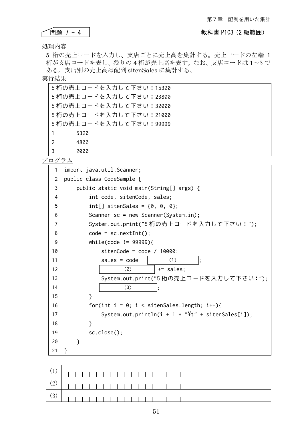### ٢

## → 1 - 4 社会の制度 7 - 4 社会の制度の基本を含むことによる。<br>その103(2 級範囲)

処理内容

5 桁の売上コードを入力し、支店ごとに売上高を集計する。売上コードの左端 1 桁が支店コードを表し、残りの 4 桁が売上高を表す。なお、支店コードは 1~3 で ある。支店別の売上高は配列 sitenSales に集計する。

### 実行結果

|               | 5桁の売上コードを入力して下さい:15320 |
|---------------|------------------------|
|               | 5桁の売上コードを入力して下さい:23800 |
|               | 5桁の売上コードを入力して下さい:32000 |
|               | 5桁の売上コードを入力して下さい:21000 |
|               | 5桁の売上コードを入力して下さい:99999 |
| 1             | 5320                   |
| $\mathcal{P}$ | 4800                   |
| 3             | 2000                   |

| 1              | import java.util.Scanner;                              |  |
|----------------|--------------------------------------------------------|--|
| 2              | public class CodeSample {                              |  |
| 3              | public static void main(String[] args) {               |  |
| 4              | int code, sitenCode, sales;                            |  |
| 5              | $int[]$ sitenSales = {0, 0, 0};                        |  |
| 6              | Scanner $sc = new Scanner(System.in);$                 |  |
| $\overline{7}$ | System.out.print("5 桁の売上コードを入力して下さい:");                |  |
| 8              | $code = sc.nextInt();$                                 |  |
| 9              | while(code $!=$ 99999){                                |  |
| 10             | sitenCode = $code / 10000;$                            |  |
| 11             | sales = $code$ -<br>(1)                                |  |
| 12             | $+=$ sales;<br>(2)                                     |  |
| 13             | System.out.print("5 桁の売上コードを入力して下さい:");                |  |
| 14             | (3)                                                    |  |
| 15             | ł                                                      |  |
| 16             | for(int i = 0; i < sitenSales.length; i++){            |  |
| 17             | System.out.println( $i + 1 +$ "\'**' + sitenSales[i]); |  |
| 18             | }                                                      |  |
| 19             | sc.close();                                            |  |
| 20             | ł                                                      |  |
| 21             | ł                                                      |  |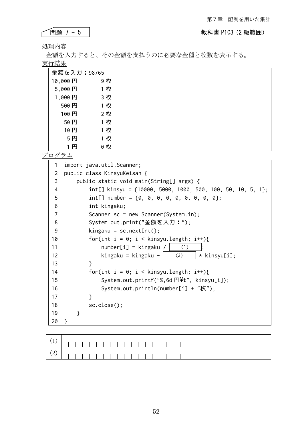### **◆ 問題 7 - 5 2000 インストリック インストリック キャラン 教科書 P103 (2 級範囲)**

処理内容

金額を入力すると、その金額を支払うのに必要な金種と枚数を表示する。 実行結果

| 金額を入力:98765 |  |     |
|-------------|--|-----|
| 10,000円     |  | 9 枚 |
| 5,000円      |  | 1枚  |
| 1,000円      |  | 3枚  |
| 500円        |  | 1枚  |
| 100円        |  | 2枚  |
| 50円         |  | 1枚  |
| 10円         |  | 1枚  |
| 5円          |  | 1枚  |
| 1 円         |  | 0 枚 |

| 1  | import java.util.Scanner;                                       |
|----|-----------------------------------------------------------------|
| 2  | public class KinsyuKeisan {                                     |
| 3  | public static void main(String[] args) {                        |
| 4  | int[] kinsyu = $\{10000, 5000, 1000, 500, 100, 50, 10, 5, 1\};$ |
| 5  | int[] number = $\{0, 0, 0, 0, 0, 0, 0, 0, 0\}$ ;                |
| 6  | int kingaku;                                                    |
| 7  | Scanner $sc = new Scanner(System.in);$                          |
| 8  | System.out.print("金額を入力:");                                     |
| 9  | $kingaku = sc.nextInt()$ ;                                      |
| 10 | for(int $i = 0$ ; $i <$ kinsyu.length; $i++)$ {                 |
| 11 | $number[i] = kingaku /  $<br>(1)                                |
| 12 | kingaku = kingaku - $(2)$<br>* kinsyu[i];                       |
| 13 | <sup>}</sup>                                                    |
| 14 | for(int $i = 0$ ; $i <$ kinsyu.length; $i++)$ {                 |
| 15 | System.out.printf("%, 6d $\overline{H}$ ", kinsyu[i]);          |
| 16 | System.out.println(number[i] + "枚");                            |
| 17 | ł                                                               |
| 18 | $sc.close()$ ;                                                  |
| 19 | ł                                                               |
| 20 |                                                                 |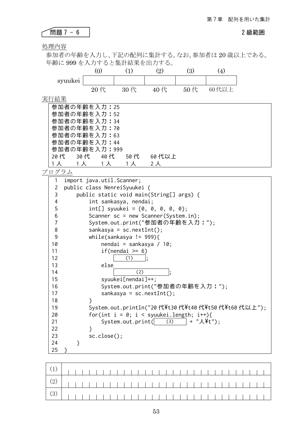問題 7 - 6 2 級範囲 

処理内容

参加者の年齢を入力し、下記の配列に集計する。なお、参加者は 20 歳以上である。 年齢に 999 を入力すると集計結果を出力する。

|               |     |     | $\left[ 2\right]$ | 3                |       |
|---------------|-----|-----|-------------------|------------------|-------|
| syuukei       |     |     |                   |                  |       |
|               | 20代 | 30代 | 40代               | $50 \text{ } \#$ | 60代以上 |
| 「結果           |     |     |                   |                  |       |
| 参加者の年齢を入力: 25 |     |     |                   |                  |       |
| 参加者の年齢を入力: 52 |     |     |                   |                  |       |

|  | 参加者の年齢を入力: 25 |      |        |  |
|--|---------------|------|--------|--|
|  | 参加者の年齢を入力: 52 |      |        |  |
|  | 参加者の年齢を入力:34  |      |        |  |
|  | 参加者の年齢を入力:70  |      |        |  |
|  | 参加者の年齢を入力:63  |      |        |  |
|  | 参加者の年齢を入力: 44 |      |        |  |
|  | 参加者の年齢を入力:999 |      |        |  |
|  | 20代 30代 40代   | 50 代 | 60 代以上 |  |
|  | 1人 1人 1人      | 1 人  | 2 人    |  |

| 1                | import java.util.Scanner;                             |
|------------------|-------------------------------------------------------|
| 2                | public class NenreiSyuukei {                          |
| 3                | public static void main(String[] args) {              |
| 4                | int sankasya, nendai;                                 |
| 5                | int[] syuukei = $\{0, 0, 0, 0, 0\}$ ;                 |
| 6                | Scanner $sc = new Scanner(System.in);$                |
| $\boldsymbol{7}$ | System.out.print("参加者の年齢を入力:");                       |
| $\,8\,$          | $sankasya = sc.nextInt();$                            |
| $\mathsf 9$      | while(sankasya != $999$ ){                            |
| 10               | nendai = sankasya / 10;                               |
| 11               | if(nendai $\ge$ = 6)                                  |
| 12               | (1)                                                   |
| 13               | else                                                  |
| 14               | (2)                                                   |
| 15               | syuukei[nendai]++;                                    |
| 16               | System.out.print("参加者の年齢を入力:");                       |
| 17               | $sankasya = sc.nextInt();$                            |
| 18               | ł                                                     |
| 19               | System.out.println("20代¥t30代¥t40代¥t50代¥t60代以上");      |
| 20               | for(int $i = 0$ ; $i <$ syuukei.length; $i++)$ {      |
| 21               | System.out.print( (3) $ $ + " $\lambda$ \intumble 1); |
| 22               | }                                                     |
| 23               | sc.close();                                           |
| 24               | ł                                                     |
| 25               |                                                       |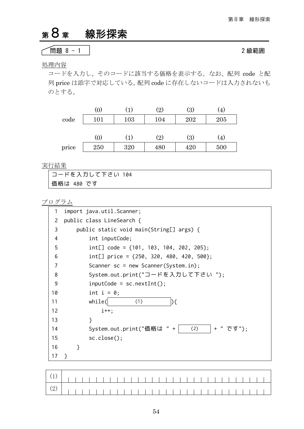# <sup>第</sup>8章 線形探索

### ├──問題 8 - 1 2級範囲 のような ついてん こうしょう 2級範囲 のはない

### 処理内容

コードを入力し、そのコードに該当する価格を表示する。なお、配列 code と配 列 price は添字で対応している。配列 code に存在しないコードは入力されないも のとする。

|       | (0)      |     | (2) | $\left( 3\right)$ | $\left( 4\right)$ |
|-------|----------|-----|-----|-------------------|-------------------|
| code  | 101      | 103 | 104 | 202               | 205               |
|       |          |     |     |                   |                   |
|       | $^{(0)}$ |     | (2) | (3)               | .4)               |
| price | 250      | 320 | 480 | 420               | 500               |

実行結果

| 丨コードを入力して下さい 104 |  |
|------------------|--|
| 価格は 480 です       |  |

| 1              | import java.util.Scanner;                      |  |
|----------------|------------------------------------------------|--|
| 2              | public class LineSearch {                      |  |
| 3              | public static void main(String[] args) {       |  |
| 4              | int inputCode;                                 |  |
| 5              | int[] code = $\{101, 103, 104, 202, 205\};$    |  |
| 6              | int[] price = $\{250, 320, 480, 420, 500\};$   |  |
| $\overline{7}$ | Scanner $sc = new Scanner(System.in);$         |  |
| 8              | System.out.print("コードを入力して下さい ");              |  |
| 9              | $inputCode = sc.nextInt()$ ;                   |  |
| 10             | int $i = 0$ ;                                  |  |
| 11             | while(<br>(1)<br>$\mathcal{H}$                 |  |
| 12             | $i++$ :                                        |  |
| 13             | }                                              |  |
| 14             | System.out.print("価格は " +  <br>+ "です");<br>(2) |  |
| 15             | sc.close();                                    |  |
| 16             | ł                                              |  |
| 17             | ł                                              |  |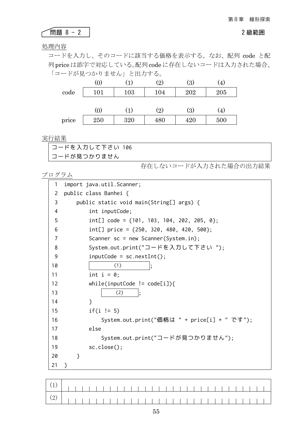# ● ● 19 2 2 2 2 級範囲 めんじょう インタン 2 級範囲 めんじょう 2 級範囲

### 処理内容

コードを入力し、そのコードに該当する価格を表示する。なお、配列 code と配 列 priceは添字で対応している。配列 codeに存在しないコードは入力された場合、 「コードが見つかりません」と出力する。

|       | (0) |                  | $\rm(2)$ | $\left( 3\right)$ | $\left( 4\right)$ |
|-------|-----|------------------|----------|-------------------|-------------------|
| code  | 101 | 103              | 104      | 202               | 205               |
|       |     |                  |          |                   |                   |
|       | (0) | $\left(1\right)$ | (2)      | $\left( 3\right)$ | .4)               |
| price | 250 | 320              | 480      | 420               | 500               |

### 実行結果

| コードを入力して下さい 106 |  |
|-----------------|--|
| コードが見つかりません     |  |

存在しないコードが入力された場合の出力結果

```
プログラム
```

| 1  | import java.util.Scanner;                      |
|----|------------------------------------------------|
| 2  | public class Banhei {                          |
| 3  | public static void main(String[] args) {       |
| 4  | int inputCode;                                 |
| 5  | int[] code = $\{101, 103, 104, 202, 205, 0\};$ |
| 6  | int[] price = $\{250, 320, 480, 420, 500\};$   |
| 7  | Scanner $sc = new Scanner(System.in);$         |
| 8  | System.out.print("コードを入力して下さい ");              |
| 9  | $inputCode = sc.nextInt();$                    |
| 10 | (1)                                            |
| 11 | int $i = 0$ ;                                  |
| 12 | while(inputCode != $code[i])$ {                |
| 13 | (2)                                            |
| 14 | ł                                              |
| 15 | $if(i != 5)$                                   |
| 16 | System.out.print("価格は " + price[i] + " です");   |
| 17 | else                                           |
| 18 | System.out.print("コードが見つかりません");               |
| 19 | $sc.close()$ ;                                 |
| 20 | }                                              |
| 21 | ł                                              |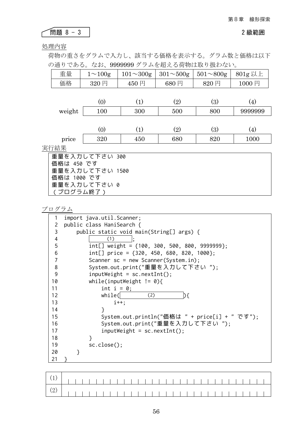### ● 日の 2 級範囲 おおとこ おおとこ おおとこ おおとこ 2 級範囲 おおとこ 2 級範囲 ٢

### 処理内容

荷物の重さをグラムで入力し、該当する価格を表示する。グラム数と価格は以下 の通りである。なお、9999999 グラムを超える荷物は取り扱わない。

| 重量          | $1 \sim 100g$   | $101 \sim 300g$ | $301 - 500g$ | $501 \sim 800$ g | $801g$ 以上 |
|-------------|-----------------|-----------------|--------------|------------------|-----------|
| 価格          | 320円            | 450円            | 680円         | 820円             | 1000円     |
|             |                 |                 |              |                  |           |
|             | (0)             | (1)             | (2)          | (3)              | (4)       |
| weight      | 100             | 300             | 500          | 800              | 9999999   |
|             |                 |                 |              |                  |           |
|             | (0)             | (1)             | (2)          | (3)              | (4)       |
| price       | 320             | 450             | 680          | 820              | 1000      |
| 実行結果        |                 |                 |              |                  |           |
|             | 重量を入力して下さい 300  |                 |              |                  |           |
| 価格は 450 です  |                 |                 |              |                  |           |
|             | 重量を入力して下さい 1500 |                 |              |                  |           |
| 価格は 1000 です |                 |                 |              |                  |           |
|             | 重量を入力して下さい 0    |                 |              |                  |           |
| (プログラム終了)   |                 |                 |              |                  |           |

| 1                 | import java.util.Scanner;                         |
|-------------------|---------------------------------------------------|
| 2                 | public class HaniSearch {                         |
| 3                 | public static void main(String[] args) {          |
| 4                 | (1)                                               |
| 5                 | int[] weight = $\{100, 300, 500, 800, 9999999\};$ |
| 6                 | int[] price = $\{320, 450, 680, 820, 1000\};$     |
| 7                 | Scanner $sc = new Scanner(System.in);$            |
| 8                 | System.out.print("重量を入力して下さい ");                  |
| 9                 | $inputWeight = sc.nextInt();$                     |
| 10                | while(inputWeight != $\emptyset$ ){               |
| 11                | int $i = 0$ ;                                     |
| $12 \overline{ }$ | while(<br>(2)                                     |
| 13                | $i++$ :                                           |
| 14                | ł                                                 |
| 15                | System.out.println("価格は " + price[i] + " です");    |
| 16                | System.out.print("重量を入力して下さい ");                  |
| 17                | $inputWeight = sc.nextInt();$                     |
| 18                | ł                                                 |
| 19                | $sc.close()$ ;                                    |
| 20                |                                                   |
| 21                |                                                   |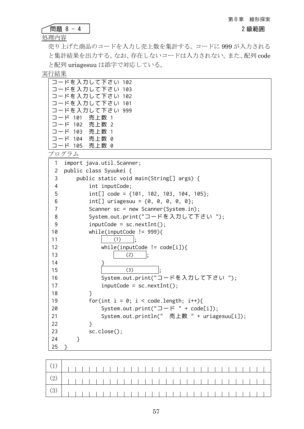|--|--|

処理内容

売り上げた商品のコードを入力し売上数を集計する。コードに 999 が入力される と集計結果を出力する。なお、存在しないコードは入力されない。また、配列 code と配列 uriagesuu は添字で対応している。

実行結果

| コードを入力して下さい 102 |
|-----------------|
| コードを入力して下さい 103 |
| コードを入力して下さい 102 |
| コードを入力して下さい 101 |
| コードを入力して下さい 999 |
| コード 101 売上数 1   |
| コード 102 売上数 2   |
| コード 103 売上数 1   |
| コード 104 売上数 0   |
| コード 105 売上数 0   |
| プログラム           |

| 1                       | import java.util.Scanner;                         |
|-------------------------|---------------------------------------------------|
| 2                       | public class Syuukei {                            |
| 3                       | public static void main(String[] args) {          |
| $\overline{\mathbf{4}}$ | int inputCode;                                    |
| 5                       | $int[] code = {101, 102, 103, 104, 105};$         |
| 6                       | int[] uriagesuu = $\{0, 0, 0, 0, 0\}$ ;           |
| $\overline{7}$          | Scanner $sc = new Scanner(System.in);$            |
| 8                       | System.out.print("コードを入力して下さい ");                 |
| 9                       | $inputCode = sc.nextInt();$                       |
| 10                      | while(inputCode $!=$ 999){                        |
| 11                      | (1)                                               |
| 12                      | while(inputCode != $code[i])$ {                   |
| 13                      | (2)                                               |
| 14                      |                                                   |
| 15                      | (3)                                               |
| 16                      | System.out.print("コードを入力して下さい ");                 |
| 17                      | $inputCode = sc.nextInt();$                       |
| 18                      | ł                                                 |
| 19                      | for(int $i = 0$ ; $i <$ code.length; $i^{++}$ ){  |
| 20                      | System.out.print(" $\Box$ - $\beta$ " + code[i]); |
| 21                      | System.out.println(" 売上数 " + uriagesuu[i]);       |
| 22                      | }                                                 |
| 23                      | sc.close();                                       |
| 24                      | }                                                 |
| 25                      | }                                                 |

| $\left[\begin{array}{c c} (2) & \cdots & \cdots \end{array}\right]$ |  |  |  |  |  |  |  |  |  |  |  |  |  |  |  |  |
|---------------------------------------------------------------------|--|--|--|--|--|--|--|--|--|--|--|--|--|--|--|--|
|                                                                     |  |  |  |  |  |  |  |  |  |  |  |  |  |  |  |  |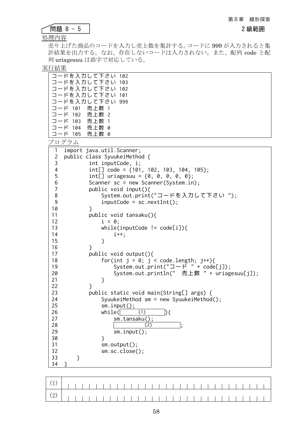問題 8 - 5 2 級範囲

| в |  |  |
|---|--|--|

処理内容

売り上げた商品のコードを入力し売上数を集計する。コードに 999 が入力されると集 計結果を出力する。なお、存在しないコードは入力されない。また、配列 code と配 列 uriagesuu は添字で対応している。

実行結果

| コードを入力して下さい 102 |
|-----------------|
| コードを入力して下さい 103 |
| コードを入力して下さい 102 |
| コードを入力して下さい 101 |
| コードを入力して下さい 999 |
| コード 101 売上数 1   |
| コード 102 売上数 2   |
| コード 103 売上数 1   |
| コード 104 売上数 0   |
| コード 105 売上数 0   |
|                 |

| 1                        | import java.util.Scanner;                         |
|--------------------------|---------------------------------------------------|
| $\overline{c}$           | public class SyuukeiMethod {                      |
| 3                        | int inputCode, i;                                 |
| $\overline{\mathcal{A}}$ | $int[] code = {101, 102, 103, 104, 105};$         |
| 5                        | int[] uriagesuu = $\{0, 0, 0, 0, 0\}$ ;           |
| $\boldsymbol{6}$         | Scanner sc = new Scanner(System.in);              |
| $\overline{7}$           | public void input(){                              |
| $\,8\,$                  | System.out.print("コードを入力して下さい ");                 |
| $\mathsf 9$              | $inputCode = sc.nextInt();$                       |
| 10                       | $\mathcal{E}$                                     |
| 11                       | public void tansaku(){                            |
| 12                       | $i = 0;$                                          |
| 13                       | while(inputCode != $code[i])$ {                   |
| 14                       | $i^{++}$ ;                                        |
| 15                       | }                                                 |
| 16                       | }                                                 |
| 17                       | public void output(){                             |
| 18                       | for(int $j = 0$ ; $j <$ code.length; $j++)$ {     |
| 19                       | System.out.print(" $\Box$ - $\beta$ " + code[j]); |
| 20                       | System.out.println(" 売上数 " + uriagesuu[j]);       |
| 21                       | }                                                 |
| 22                       | }                                                 |
| 23                       | public static void main(String[] args) {          |
| 24                       | SyuukeiMethod $sm = new SyuukeiMethod()$ ;        |
| 25                       | $sm.input()$ ;                                    |
| 26                       | (1)<br>while(<br>$\mathcal{E}$                    |
| 27                       | $sm.tansaku()$ ;                                  |
| 28                       | (2)                                               |
| 29                       | $sm.input()$ ;                                    |
| 30                       | $\mathcal{E}$                                     |
| 31                       | $sm.output()$ ;                                   |
| 32                       | sm.sc.close();                                    |
| 33                       | }                                                 |
| 34                       |                                                   |

| $(2)$ $(1)$ |  |  |  |  |  |  |  |  |  |  |  |  |  |  |  |
|-------------|--|--|--|--|--|--|--|--|--|--|--|--|--|--|--|
|             |  |  |  |  |  |  |  |  |  |  |  |  |  |  |  |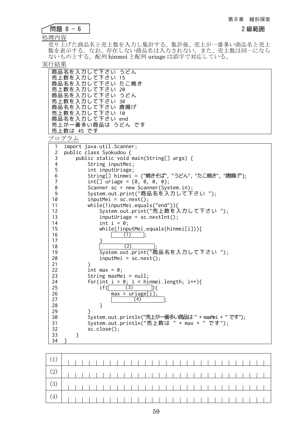2級範囲

|--|--|--|--|--|

処理内容

売り上げた商品名と売上数を入力し集計する。集計後、売上が一番多い商品名と売上 数を表示する。なお、存在しない商品名は入力されない。また、売上数は同一になら ないものとする。配列 hinmei と配列 uriage は添字で対応している。

実行結果

|                         | 商品名を入力して下さい うどん<br>売上数を入力して下さい 15<br>商品名を入力して下さい たこ焼き<br>売上数を入力して下さい 20<br>商品名を入力して下さい うどん<br>売上数を入力して下さい 30<br>商品名を入力して下さい 唐揚げ<br>売上数を入力して下さい 10<br>商品名を入力して下さい end<br>売上が一番多い商品は うどん です<br>売上数は 45 です<br>プログラム |
|-------------------------|------------------------------------------------------------------------------------------------------------------------------------------------------------------------------------------------------------------|
| 1<br>$\mathbf{2}$       | import java.util.Scanner;<br>public class Syokudou {                                                                                                                                                             |
| 3                       | public static void main(String[] args) {                                                                                                                                                                         |
| $\overline{\mathbf{4}}$ | String inputMei;                                                                                                                                                                                                 |
| 5                       | int inputUriage;                                                                                                                                                                                                 |
| 6                       | String[] hinmei = {"焼きそば", "うどん", "たこ焼き", "唐揚げ"};                                                                                                                                                                |
| $\overline{7}$          | int[] uriage = $\{0, 0, 0, 0\}$ ;                                                                                                                                                                                |
| 8                       | Scanner $sc = new Scanner(System.in);$                                                                                                                                                                           |
| 9                       | System.out.print("商品名を入力して下さい ");                                                                                                                                                                                |
| 10                      | $inputMei = sc.next();$                                                                                                                                                                                          |
| 11<br>12                | while(!inputMei.equals("end")){<br>System.out.print("売上数を入力して下さい ");                                                                                                                                             |
| 13                      | $inputUnique = sc.nextInt()$ ;                                                                                                                                                                                   |
| 14                      | int $i = 0$ ;                                                                                                                                                                                                    |
| 15                      | while(!inputMei.equals(hinmei[i])){                                                                                                                                                                              |
| 16                      | (1)                                                                                                                                                                                                              |
| 17                      |                                                                                                                                                                                                                  |
| 18                      | (2)                                                                                                                                                                                                              |
| 19                      | System.out.print("商品名を入力して下さい ");                                                                                                                                                                                |
| 20                      | $inputMei = sc.next();$                                                                                                                                                                                          |
| 21                      |                                                                                                                                                                                                                  |
| 22                      | int max = $\theta$ :                                                                                                                                                                                             |
| 23<br>24                | String maxMei = $null;$<br>for(int $i = 0$ ; $i <$ hinmei.length; $i++)$ {                                                                                                                                       |
| 25                      | if(<br>(3)<br>$\mathcal{D}\mathcal{F}$                                                                                                                                                                           |
| 26                      | $max = uriage[i];$                                                                                                                                                                                               |
| 27                      | (4)                                                                                                                                                                                                              |
| 28                      | $\mathcal{F}$                                                                                                                                                                                                    |
| 29                      | }                                                                                                                                                                                                                |
| 30                      | System.out.println("売上が一番多い商品は" + maxMei + " です");                                                                                                                                                               |
| 31                      | System.out.println("売上数は " + max + " です");                                                                                                                                                                       |
| 32                      | $sc.close()$ ;                                                                                                                                                                                                   |
| 33                      | }                                                                                                                                                                                                                |
| 34                      | ł                                                                                                                                                                                                                |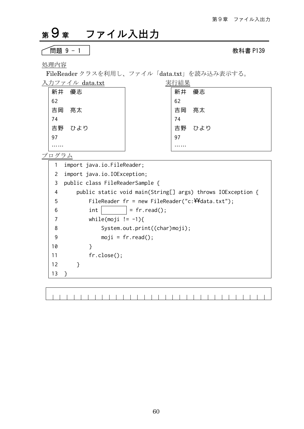# <sup>第</sup>9章 ファイル入出力

$$
\fbox{BBig}9-1
$$

教科書 P139

処理内容

FileReader クラスを利用し、ファイル「data.txt」を読み込み表示する。

| 入力フ<br>$\Lambda$ <sup><math>\mu</math></sup> data.txt<br>$\rightarrow$ | 行結里       |
|------------------------------------------------------------------------|-----------|
| 新井<br>優志                                                               | 新井<br>優志  |
| 62                                                                     | 62        |
| 吉岡<br>亮太                                                               | 吉岡<br>亮太  |
| 74                                                                     | 74        |
| 吉野<br>ひより                                                              | 吉野<br>ひより |
| 97                                                                     | 97        |
|                                                                        |           |

プログラム

1 2 3 public class FileReaderSample { 4 5 6 7 8 9 10 11 12 13 } import java.io.FileReader; import java.io.IOException; public static void main(String[] args) throws IOException { FileReader fr = new FileReader("c: $\forall$ 4data.txt");  $int$  = fr.read(); while(moji  $!= -1$ ){ System.out.print((char)moji);  $moji = fr.read();$  } fr.close(); }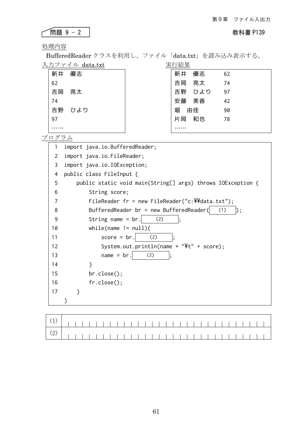### 問題 9 - 2 教科書 P139

処理内容

BufferedReader クラスを利用し、ファイル「data.txt」を読み込み表示する。 入力ファイル data.txt 実行結果

| ノベンシン | $\cdots$<br>ua va va v | ノヘエコ ホロノト |     |    |
|-------|------------------------|-----------|-----|----|
| 新井    | 優志                     | 新井        | 優志  | 62 |
| 62    |                        | 吉岡        | 亮太  | 74 |
| 吉岡    | 亮太                     | 吉野        | ひより | 97 |
| 74    |                        | 安藤        | 美香  | 42 |
| 吉野    | ひより                    | 堀         | 由佳  | 90 |
| 97    |                        | 片岡        | 和也  | 78 |
|       |                        |           |     |    |

プログラム

1 2 import java.io.FileReader; 3 import java.io.IOException; 4 5 6 7 8 9 10 11 12 13 14 15 16 17 import java.io.BufferedReader; public class FileInput { public static void main(String[] args) throws IOException { String score; FileReader fr = new FileReader("c: $\forall$ 4data.txt"); BufferedReader br = new BufferedReader( $(1)$ ); String name =  $\text{br.}$  (2) while(name  $!=$  null){  $score = br.$  (2) System.out.println(name +  $"$ It" + score);  $name = br.$  (2) } br.close(); fr.close(); } }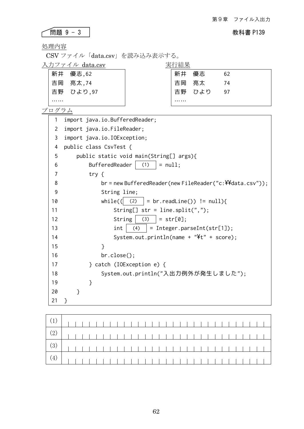### ● <mark>問題 9 - 3</mark> N<br>■ 初科書 P139 ٢

処理内容

CSV ファイル「data.csv」を読み込み表示する。

入力ファイル data.csv 実行結果

| 新井 優志,62  | 新井       | 優志     | 62   |
|-----------|----------|--------|------|
| 吉岡 亮太, 74 | □ 吉岡  亮太 |        | -74  |
| 吉野 ひより,97 |          | 吉野 ひより | - 97 |
|           |          |        |      |

| 1              | import java.io.BufferedReader;                                             |
|----------------|----------------------------------------------------------------------------|
| $\overline{c}$ | import java.io.FileReader;                                                 |
| 3              | import java.io.IOException;                                                |
| 4              | public class CsvTest {                                                     |
| 5              | public static void main(String[] args){                                    |
| 6              | BufferedReader<br>(1)<br>$= null;$                                         |
| 7              | try $\{$                                                                   |
| 8              | $br$ = new BufferedReader(new FileReader("c: $\frac{24}{100}$ data.csv")); |
| 9              | String line;                                                               |
| 10             | while(<br>$=$ br.readLine()) $!=$ null){<br>(2)                            |
| 11             | String[] str = line.split(",");                                            |
| 12             | String $(3)$<br>$= str[0];$                                                |
| 13             | (4)<br>$=$ Integer.parseInt(str[1]);<br>int                                |
| 14             | System.out.println(name + $"4t"$ + score);                                 |
| 15             | }                                                                          |
| 16             | br.close();                                                                |
| 17             | } catch (IOException e) {                                                  |
| 18             | System.out.println("入出力例外が発生しました");                                        |
| 19             | }                                                                          |
| 20             | }                                                                          |
| 21             |                                                                            |

| <u>(3)                             </u> |  |  |  |  |  |  |  |  |  |  |  |  |  |  |  |  |
|-----------------------------------------|--|--|--|--|--|--|--|--|--|--|--|--|--|--|--|--|
|                                         |  |  |  |  |  |  |  |  |  |  |  |  |  |  |  |  |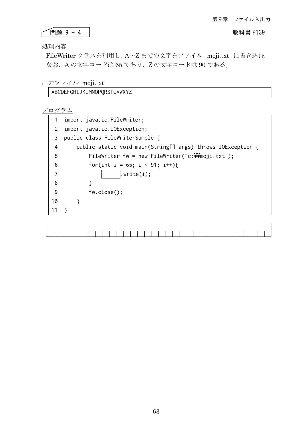### 問題 9 - 4 教科書 P139

### 処理内容

FileWriter クラスを利用し、A~Z までの文字をファイル「moji.txt」に書き込む。 なお、A の文字コードは 65 であり、Z の文字コードは 90 である。

### 出力ファイル moji.txt

### ABCDEFGHIJKLMNOPQRSTUVWXYZ

|    | import java.io.FileWriter;                                    |  |  |  |  |  |  |  |  |  |  |  |  |  |  |
|----|---------------------------------------------------------------|--|--|--|--|--|--|--|--|--|--|--|--|--|--|
| 2  | import java.io.IOException;                                   |  |  |  |  |  |  |  |  |  |  |  |  |  |  |
| 3  | public class FileWriterSample {                               |  |  |  |  |  |  |  |  |  |  |  |  |  |  |
| 4  | public static void main(String[] args) throws IOException {   |  |  |  |  |  |  |  |  |  |  |  |  |  |  |
| 5  | FileWriter fw = new FileWriter("c: $\frac{24}{100}$ ji.txt"); |  |  |  |  |  |  |  |  |  |  |  |  |  |  |
| 6  | for(int i = 65; i < 91; i++){                                 |  |  |  |  |  |  |  |  |  |  |  |  |  |  |
| 7  | .write(i);                                                    |  |  |  |  |  |  |  |  |  |  |  |  |  |  |
| 8  | ł                                                             |  |  |  |  |  |  |  |  |  |  |  |  |  |  |
| 9  | fw.close();                                                   |  |  |  |  |  |  |  |  |  |  |  |  |  |  |
| 10 |                                                               |  |  |  |  |  |  |  |  |  |  |  |  |  |  |
| 11 |                                                               |  |  |  |  |  |  |  |  |  |  |  |  |  |  |
|    |                                                               |  |  |  |  |  |  |  |  |  |  |  |  |  |  |
|    |                                                               |  |  |  |  |  |  |  |  |  |  |  |  |  |  |
|    |                                                               |  |  |  |  |  |  |  |  |  |  |  |  |  |  |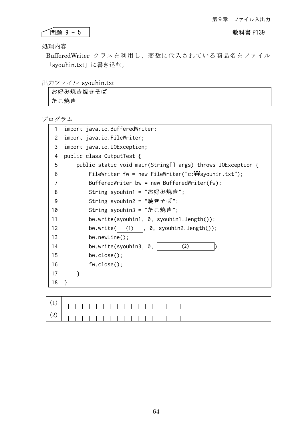### ● 有限題 9 - 5 社会の インタントリック インタントリック あいちゃく 教科書 P139

処理内容

٢

BufferedWriter クラスを利用し、変数に代入されている商品名をファイル 「syouhin.txt」に書き込む。

### 出力ファイル syouhin.txt

| お好み焼き焼きそば |  |
|-----------|--|
| たこ焼き      |  |

| 1              | import java.io.BufferedWriter;                                     |  |  |  |  |  |  |  |  |  |  |  |  |  |
|----------------|--------------------------------------------------------------------|--|--|--|--|--|--|--|--|--|--|--|--|--|
| $\overline{2}$ | import java.io.FileWriter;                                         |  |  |  |  |  |  |  |  |  |  |  |  |  |
| 3              | import java.io.IOException;                                        |  |  |  |  |  |  |  |  |  |  |  |  |  |
| 4              | public class OutputTest {                                          |  |  |  |  |  |  |  |  |  |  |  |  |  |
| 5              | public static void main(String[] args) throws IOException {        |  |  |  |  |  |  |  |  |  |  |  |  |  |
| 6              | FileWriter fw = new FileWriter("c: $\frac{24}{100}$ syouhin.txt"); |  |  |  |  |  |  |  |  |  |  |  |  |  |
| 7              | BufferedWriter bw = new BufferedWriter(fw);                        |  |  |  |  |  |  |  |  |  |  |  |  |  |
| 8              | String syouhin1 = "お好み焼き";                                         |  |  |  |  |  |  |  |  |  |  |  |  |  |
| 9              | String syouhin2 = "焼きそば";                                          |  |  |  |  |  |  |  |  |  |  |  |  |  |
| 10             | String syouhin3 = "たこ焼き";                                          |  |  |  |  |  |  |  |  |  |  |  |  |  |
| 11             | bw.write(syouhin1, 0, syouhin1.length());                          |  |  |  |  |  |  |  |  |  |  |  |  |  |
| 12             | bw.write( $(1)$ , 0, syouhin2.length());                           |  |  |  |  |  |  |  |  |  |  |  |  |  |
| 13             | $bw.newLine()$ ;                                                   |  |  |  |  |  |  |  |  |  |  |  |  |  |
| 14             | bw.write(syouhin3, 0,<br>(2)                                       |  |  |  |  |  |  |  |  |  |  |  |  |  |
| 15             | $bw.close()$ ;                                                     |  |  |  |  |  |  |  |  |  |  |  |  |  |
| 16             | fw.close();                                                        |  |  |  |  |  |  |  |  |  |  |  |  |  |
| 17             | }                                                                  |  |  |  |  |  |  |  |  |  |  |  |  |  |
| 18             |                                                                    |  |  |  |  |  |  |  |  |  |  |  |  |  |
|                |                                                                    |  |  |  |  |  |  |  |  |  |  |  |  |  |